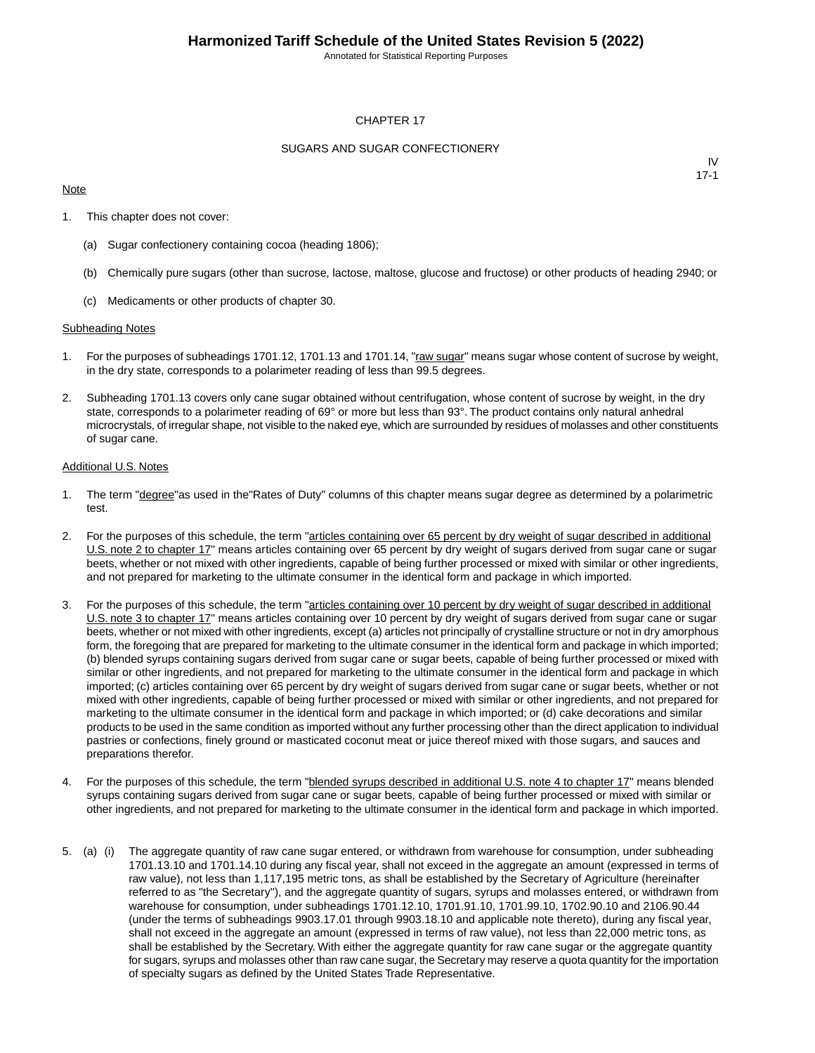Annotated for Statistical Reporting Purposes

#### CHAPTER 17

#### SUGARS AND SUGAR CONFECTIONERY

#### **Note**

IV 17-1

- 1. This chapter does not cover:
	- (a) Sugar confectionery containing cocoa (heading 1806);
	- (b) Chemically pure sugars (other than sucrose, lactose, maltose, glucose and fructose) or other products of heading 2940; or
	- (c) Medicaments or other products of chapter 30.

#### Subheading Notes

- 1. For the purposes of subheadings 1701.12, 1701.13 and 1701.14, "raw sugar" means sugar whose content of sucrose by weight, in the dry state, corresponds to a polarimeter reading of less than 99.5 degrees.
- 2. Subheading 1701.13 covers only cane sugar obtained without centrifugation, whose content of sucrose by weight, in the dry state, corresponds to a polarimeter reading of 69° or more but less than 93°. The product contains only natural anhedral microcrystals, of irregular shape, not visible to the naked eye, which are surrounded by residues of molasses and other constituents of sugar cane.

#### Additional U.S. Notes

- 1. The term "degree"as used in the"Rates of Duty" columns of this chapter means sugar degree as determined by a polarimetric test.
- 2. For the purposes of this schedule, the term "articles containing over 65 percent by dry weight of sugar described in additional U.S. note 2 to chapter 17" means articles containing over 65 percent by dry weight of sugars derived from sugar cane or sugar beets, whether or not mixed with other ingredients, capable of being further processed or mixed with similar or other ingredients, and not prepared for marketing to the ultimate consumer in the identical form and package in which imported.
- 3. For the purposes of this schedule, the term "articles containing over 10 percent by dry weight of sugar described in additional U.S. note 3 to chapter 17" means articles containing over 10 percent by dry weight of sugars derived from sugar cane or sugar beets, whether or not mixed with other ingredients, except (a) articles not principally of crystalline structure or not in dry amorphous form, the foregoing that are prepared for marketing to the ultimate consumer in the identical form and package in which imported; (b) blended syrups containing sugars derived from sugar cane or sugar beets, capable of being further processed or mixed with similar or other ingredients, and not prepared for marketing to the ultimate consumer in the identical form and package in which imported; (c) articles containing over 65 percent by dry weight of sugars derived from sugar cane or sugar beets, whether or not mixed with other ingredients, capable of being further processed or mixed with similar or other ingredients, and not prepared for marketing to the ultimate consumer in the identical form and package in which imported; or (d) cake decorations and similar products to be used in the same condition as imported without any further processing other than the direct application to individual pastries or confections, finely ground or masticated coconut meat or juice thereof mixed with those sugars, and sauces and preparations therefor.
- 4. For the purposes of this schedule, the term "**blended syrups described in additional U.S. note 4 to chapter 17**" means blended syrups containing sugars derived from sugar cane or sugar beets, capable of being further processed or mixed with similar or other ingredients, and not prepared for marketing to the ultimate consumer in the identical form and package in which imported.
- 5. (a) (i) The aggregate quantity of raw cane sugar entered, or withdrawn from warehouse for consumption, under subheading 1701.13.10 and 1701.14.10 during any fiscal year, shall not exceed in the aggregate an amount (expressed in terms of raw value), not less than 1,117,195 metric tons, as shall be established by the Secretary of Agriculture (hereinafter referred to as "the Secretary"), and the aggregate quantity of sugars, syrups and molasses entered, or withdrawn from warehouse for consumption, under subheadings 1701.12.10, 1701.91.10, 1701.99.10, 1702.90.10 and 2106.90.44 (under the terms of subheadings 9903.17.01 through 9903.18.10 and applicable note thereto), during any fiscal year, shall not exceed in the aggregate an amount (expressed in terms of raw value), not less than 22,000 metric tons, as shall be established by the Secretary. With either the aggregate quantity for raw cane sugar or the aggregate quantity for sugars, syrups and molasses other than raw cane sugar, the Secretary may reserve a quota quantity for the importation of specialty sugars as defined by the United States Trade Representative.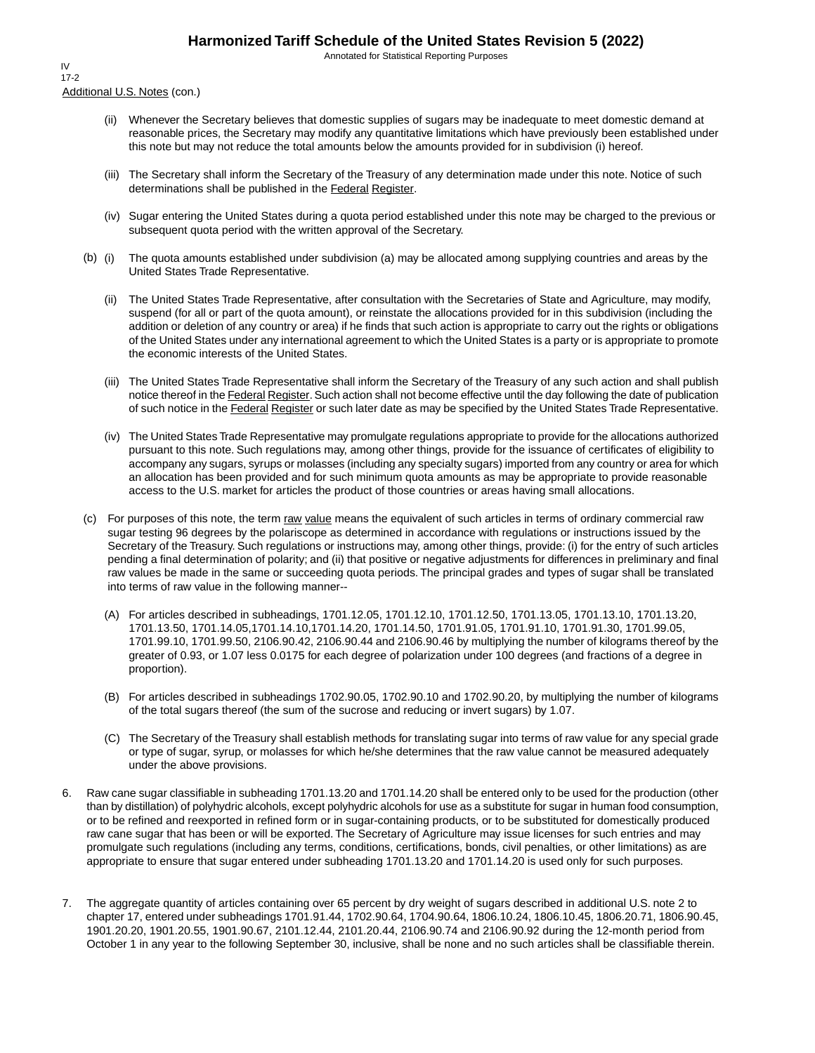Annotated for Statistical Reporting Purposes

Additional U.S. Notes (con.) IV 17-2

- (ii) Whenever the Secretary believes that domestic supplies of sugars may be inadequate to meet domestic demand at reasonable prices, the Secretary may modify any quantitative limitations which have previously been established under this note but may not reduce the total amounts below the amounts provided for in subdivision (i) hereof.
- (iii) The Secretary shall inform the Secretary of the Treasury of any determination made under this note. Notice of such determinations shall be published in the Federal Register.
- (iv) Sugar entering the United States during a quota period established under this note may be charged to the previous or subsequent quota period with the written approval of the Secretary.
- (b) (i) The quota amounts established under subdivision (a) may be allocated among supplying countries and areas by the United States Trade Representative.
	- (ii) The United States Trade Representative, after consultation with the Secretaries of State and Agriculture, may modify, suspend (for all or part of the quota amount), or reinstate the allocations provided for in this subdivision (including the addition or deletion of any country or area) if he finds that such action is appropriate to carry out the rights or obligations of the United States under any international agreement to which the United States is a party or is appropriate to promote the economic interests of the United States.
	- (iii) The United States Trade Representative shall inform the Secretary of the Treasury of any such action and shall publish notice thereof in the Federal Register. Such action shall not become effective until the day following the date of publication of such notice in the Federal Register or such later date as may be specified by the United States Trade Representative.
	- (iv) The United States Trade Representative may promulgate regulations appropriate to provide for the allocations authorized pursuant to this note. Such regulations may, among other things, provide for the issuance of certificates of eligibility to accompany any sugars, syrups or molasses (including any specialty sugars) imported from any country or area for which an allocation has been provided and for such minimum quota amounts as may be appropriate to provide reasonable access to the U.S. market for articles the product of those countries or areas having small allocations.
- (c) For purposes of this note, the term raw value means the equivalent of such articles in terms of ordinary commercial raw sugar testing 96 degrees by the polariscope as determined in accordance with regulations or instructions issued by the Secretary of the Treasury. Such regulations or instructions may, among other things, provide: (i) for the entry of such articles pending a final determination of polarity; and (ii) that positive or negative adjustments for differences in preliminary and final raw values be made in the same or succeeding quota periods. The principal grades and types of sugar shall be translated into terms of raw value in the following manner--
	- (A) For articles described in subheadings, 1701.12.05, 1701.12.10, 1701.12.50, 1701.13.05, 1701.13.10, 1701.13.20, 1701.13.50, 1701.14.05,1701.14.10,1701.14.20, 1701.14.50, 1701.91.05, 1701.91.10, 1701.91.30, 1701.99.05, 1701.99.10, 1701.99.50, 2106.90.42, 2106.90.44 and 2106.90.46 by multiplying the number of kilograms thereof by the greater of 0.93, or 1.07 less 0.0175 for each degree of polarization under 100 degrees (and fractions of a degree in proportion).
	- (B) For articles described in subheadings 1702.90.05, 1702.90.10 and 1702.90.20, by multiplying the number of kilograms of the total sugars thereof (the sum of the sucrose and reducing or invert sugars) by 1.07.
	- (C) The Secretary of the Treasury shall establish methods for translating sugar into terms of raw value for any special grade or type of sugar, syrup, or molasses for which he/she determines that the raw value cannot be measured adequately under the above provisions.
- 6. Raw cane sugar classifiable in subheading 1701.13.20 and 1701.14.20 shall be entered only to be used for the production (other than by distillation) of polyhydric alcohols, except polyhydric alcohols for use as a substitute for sugar in human food consumption, or to be refined and reexported in refined form or in sugar-containing products, or to be substituted for domestically produced raw cane sugar that has been or will be exported. The Secretary of Agriculture may issue licenses for such entries and may promulgate such regulations (including any terms, conditions, certifications, bonds, civil penalties, or other limitations) as are appropriate to ensure that sugar entered under subheading 1701.13.20 and 1701.14.20 is used only for such purposes.
- 7. The aggregate quantity of articles containing over 65 percent by dry weight of sugars described in additional U.S. note 2 to chapter 17, entered under subheadings 1701.91.44, 1702.90.64, 1704.90.64, 1806.10.24, 1806.10.45, 1806.20.71, 1806.90.45, 1901.20.20, 1901.20.55, 1901.90.67, 2101.12.44, 2101.20.44, 2106.90.74 and 2106.90.92 during the 12-month period from October 1 in any year to the following September 30, inclusive, shall be none and no such articles shall be classifiable therein.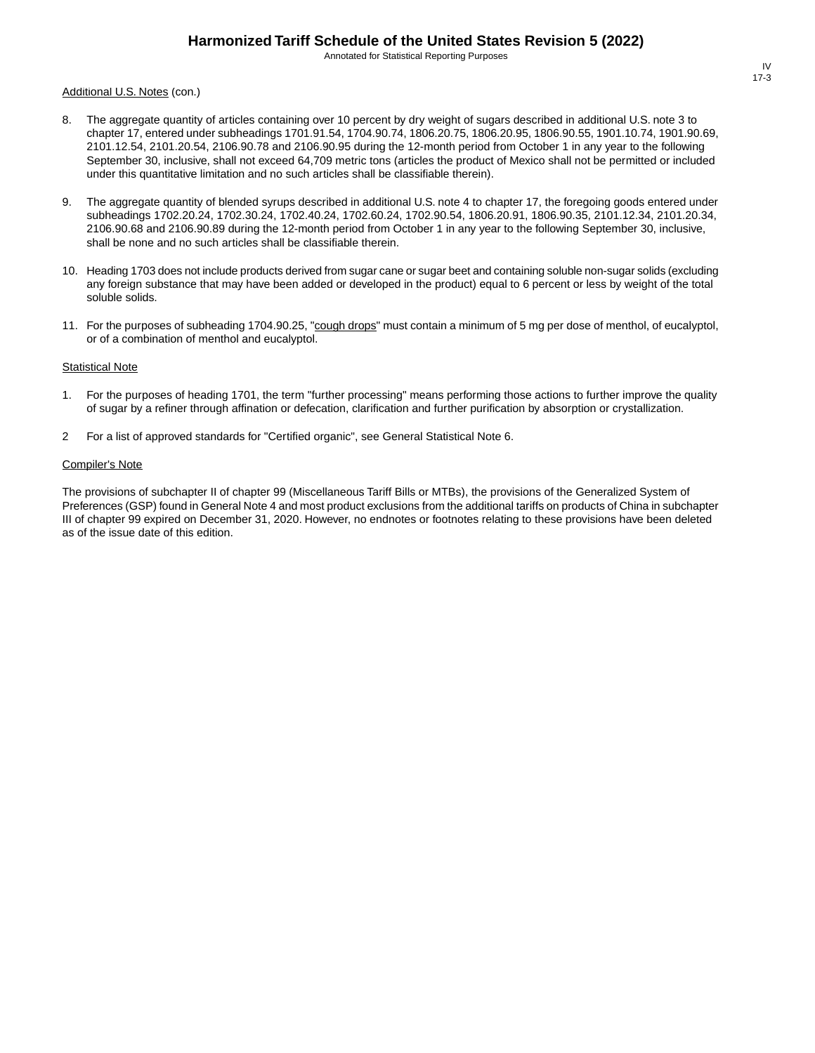Annotated for Statistical Reporting Purposes

#### Additional U.S. Notes (con.)

- 8. The aggregate quantity of articles containing over 10 percent by dry weight of sugars described in additional U.S. note 3 to chapter 17, entered under subheadings 1701.91.54, 1704.90.74, 1806.20.75, 1806.20.95, 1806.90.55, 1901.10.74, 1901.90.69, 2101.12.54, 2101.20.54, 2106.90.78 and 2106.90.95 during the 12-month period from October 1 in any year to the following September 30, inclusive, shall not exceed 64,709 metric tons (articles the product of Mexico shall not be permitted or included under this quantitative limitation and no such articles shall be classifiable therein).
- 9. The aggregate quantity of blended syrups described in additional U.S. note 4 to chapter 17, the foregoing goods entered under subheadings 1702.20.24, 1702.30.24, 1702.40.24, 1702.60.24, 1702.90.54, 1806.20.91, 1806.90.35, 2101.12.34, 2101.20.34, 2106.90.68 and 2106.90.89 during the 12-month period from October 1 in any year to the following September 30, inclusive, shall be none and no such articles shall be classifiable therein.
- 10. Heading 1703 does not include products derived from sugar cane or sugar beet and containing soluble non-sugar solids (excluding any foreign substance that may have been added or developed in the product) equal to 6 percent or less by weight of the total soluble solids.
- 11. For the purposes of subheading 1704.90.25, "cough drops" must contain a minimum of 5 mg per dose of menthol, of eucalyptol, or of a combination of menthol and eucalyptol.

#### **Statistical Note**

- 1. For the purposes of heading 1701, the term "further processing" means performing those actions to further improve the quality of sugar by a refiner through affination or defecation, clarification and further purification by absorption or crystallization.
- 2 For a list of approved standards for "Certified organic", see General Statistical Note 6.

#### Compiler's Note

The provisions of subchapter II of chapter 99 (Miscellaneous Tariff Bills or MTBs), the provisions of the Generalized System of Preferences (GSP) found in General Note 4 and most product exclusions from the additional tariffs on products of China in subchapter III of chapter 99 expired on December 31, 2020. However, no endnotes or footnotes relating to these provisions have been deleted as of the issue date of this edition.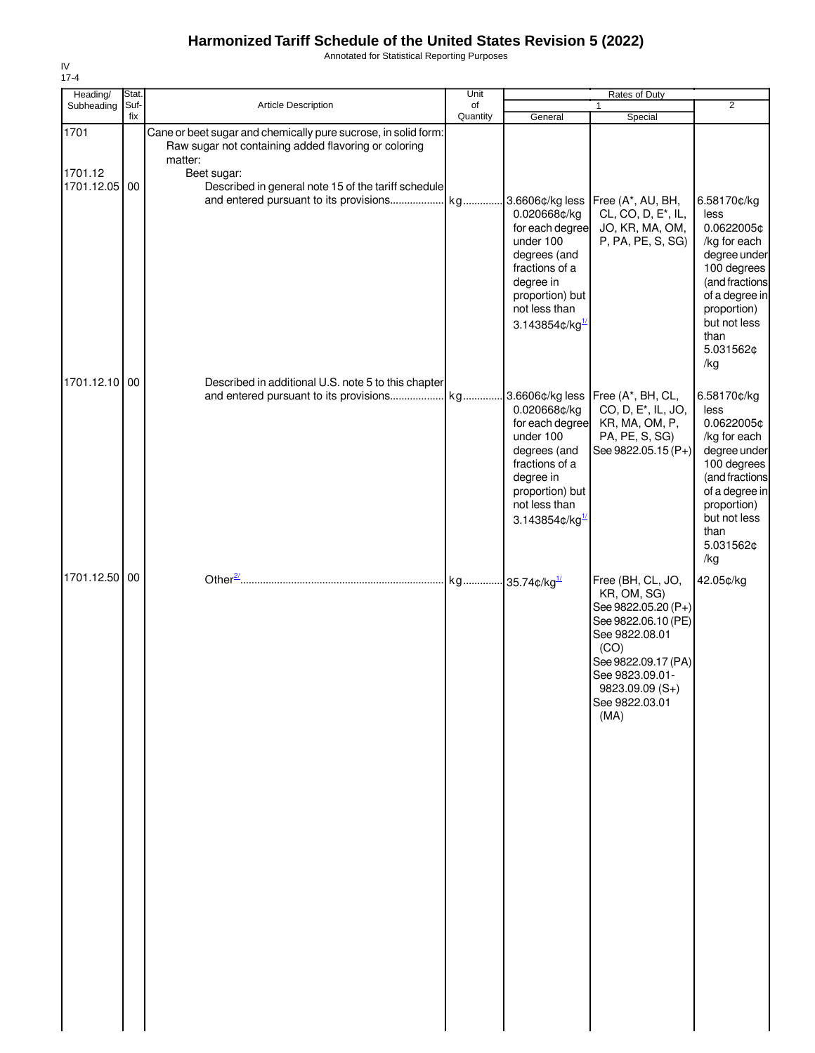Annotated for Statistical Reporting Purposes

| Heading/                                       | Stat.       |                                                                                                                                                                                                                                                                | Unit           |                                                                                                                                                                          | Rates of Duty                                                                                                                                                                                   |                                                                                                                                                                                 |
|------------------------------------------------|-------------|----------------------------------------------------------------------------------------------------------------------------------------------------------------------------------------------------------------------------------------------------------------|----------------|--------------------------------------------------------------------------------------------------------------------------------------------------------------------------|-------------------------------------------------------------------------------------------------------------------------------------------------------------------------------------------------|---------------------------------------------------------------------------------------------------------------------------------------------------------------------------------|
| Subheading                                     | Suf-<br>fix | <b>Article Description</b>                                                                                                                                                                                                                                     | of<br>Quantity | General                                                                                                                                                                  | $\mathbf{1}$<br>Special                                                                                                                                                                         | $\overline{2}$                                                                                                                                                                  |
| 1701<br>1701.12<br>1701.12.05<br>1701.12.10 00 | 00          | Cane or beet sugar and chemically pure sucrose, in solid form:<br>Raw sugar not containing added flavoring or coloring<br>matter:<br>Beet sugar:<br>Described in general note 15 of the tariff schedule<br>Described in additional U.S. note 5 to this chapter |                | 0.020668¢/kg<br>for each degree<br>under 100<br>degrees (and<br>fractions of a<br>degree in<br>proportion) but<br>not less than<br>3.143854¢/kg $^{1/2}$                 | CL, CO, D, E <sup>*</sup> , IL,<br>JO, KR, MA, OM,<br>P, PA, PE, S, SG)                                                                                                                         | 6.58170¢/kg<br>less<br>0.0622005¢<br>/kg for each<br>degree under<br>100 degrees<br>(and fractions<br>of a degree in<br>proportion)<br>but not less<br>than<br>5.031562¢<br>/kg |
|                                                |             | and entered pursuant to its provisions kg                                                                                                                                                                                                                      |                | 0.020668¢/kg<br>for each degree<br>under 100<br>degrees (and<br>fractions of a<br>degree in<br>proportion) but<br>not less than<br>3.143854 $\mathfrak{c}/\mathsf{kg}^1$ | 3.6606¢/kg less Free (A*, BH, CL,<br>CO, D, E <sup>*</sup> , IL, JO,<br>KR, MA, OM, P,<br>PA, PE, S, SG)<br>See 9822.05.15 (P+)                                                                 | 6.58170¢/kg<br>less<br>0.0622005¢<br>/kg for each<br>degree under<br>100 degrees<br>(and fractions<br>of a degree in<br>proportion)<br>but not less<br>than<br>5.031562¢<br>/kg |
| 1701.12.50                                     | 00          |                                                                                                                                                                                                                                                                |                |                                                                                                                                                                          | Free (BH, CL, JO,<br>KR, OM, SG)<br>See 9822.05.20 (P+)<br>See 9822.06.10 (PE)<br>See 9822.08.01<br>(CO)<br>See 9822.09.17 (PA)<br>See 9823.09.01-<br>9823.09.09 (S+)<br>See 9822.03.01<br>(MA) | 42.05¢/kg                                                                                                                                                                       |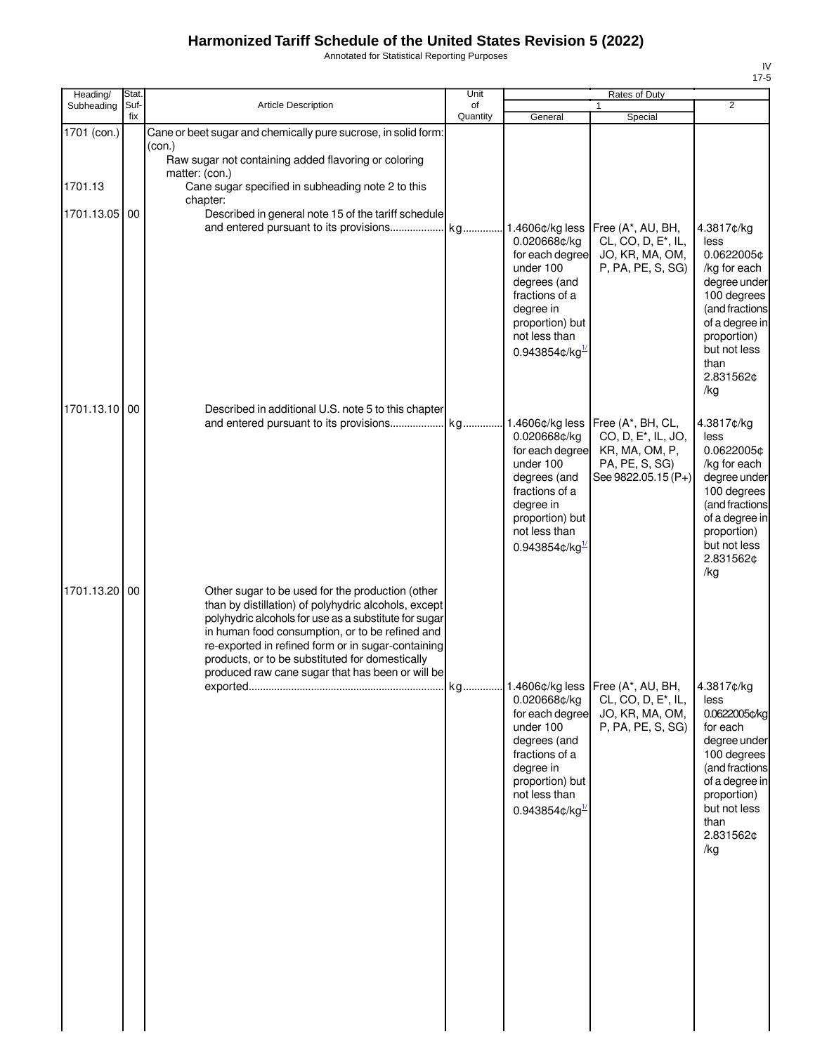Annotated for Statistical Reporting Purposes

| Heading/               | Stat.<br>Suf- | <b>Article Description</b>                                                                                                                                                                                                                                                                                                                                                        | Unit<br>of |                                                                                                                                                                                    | Rates of Duty                                                                                                   | $\overline{2}$                                                                                                                                                                 |
|------------------------|---------------|-----------------------------------------------------------------------------------------------------------------------------------------------------------------------------------------------------------------------------------------------------------------------------------------------------------------------------------------------------------------------------------|------------|------------------------------------------------------------------------------------------------------------------------------------------------------------------------------------|-----------------------------------------------------------------------------------------------------------------|--------------------------------------------------------------------------------------------------------------------------------------------------------------------------------|
| Subheading             | fix           |                                                                                                                                                                                                                                                                                                                                                                                   | Quantity   | General                                                                                                                                                                            | 1<br>Special                                                                                                    |                                                                                                                                                                                |
| 1701 (con.)<br>1701.13 |               | Cane or beet sugar and chemically pure sucrose, in solid form:<br>(con.)<br>Raw sugar not containing added flavoring or coloring<br>matter: (con.)<br>Cane sugar specified in subheading note 2 to this<br>chapter:                                                                                                                                                               |            |                                                                                                                                                                                    |                                                                                                                 |                                                                                                                                                                                |
| 1701.13.05             | 00            | Described in general note 15 of the tariff schedule                                                                                                                                                                                                                                                                                                                               |            | 1.4606¢/kg less<br>0.020668¢/kg<br>for each degree<br>under 100<br>degrees (and<br>fractions of a<br>degree in<br>proportion) but<br>not less than<br>$0.943854$ ¢/kg <sup>1</sup> | Free (A*, AU, BH,<br>CL, CO, D, E <sup>*</sup> , IL,<br>JO, KR, MA, OM,<br>P, PA, PE, S, SG)                    | 4.3817¢/kg<br>less<br>0.0622005¢<br>/kg for each<br>degree under<br>100 degrees<br>(and fractions<br>of a degree in<br>proportion)<br>but not less<br>than<br>2.831562¢<br>/kg |
| 1701.13.10 00          |               | Described in additional U.S. note 5 to this chapter<br>and entered pursuant to its provisions                                                                                                                                                                                                                                                                                     | kg         | 1.4606¢/kg less<br>0.020668¢/kg<br>for each degree<br>under 100<br>degrees (and<br>fractions of a<br>degree in<br>proportion) but<br>not less than<br>$0.943854$ ¢/kg <sup>1</sup> | Free (A*, BH, CL,<br>CO, D, E <sup>*</sup> , IL, JO,<br>KR, MA, OM, P,<br>PA, PE, S, SG)<br>See 9822.05.15 (P+) | 4.3817¢/kg<br>less<br>0.0622005¢<br>/kg for each<br>degree under<br>100 degrees<br>(and fractions<br>of a degree in<br>proportion)<br>but not less<br>2.831562¢<br>/kg         |
| 1701.13.20100          |               | Other sugar to be used for the production (other<br>than by distillation) of polyhydric alcohols, except<br>polyhydric alcohols for use as a substitute for sugar<br>in human food consumption, or to be refined and<br>re-exported in refined form or in sugar-containing<br>products, or to be substituted for domestically<br>produced raw cane sugar that has been or will be |            | 0.020668¢/kg<br>for each degree<br>under 100<br>degrees (and<br>fractions of a<br>degree in<br>proportion) but<br>not less than<br>$0.943854$ ¢/kg $^{1/2}$                        | CL, CO, D, E <sup>*</sup> , IL,<br>JO, KR, MA, OM,<br>P, PA, PE, S, SG)                                         | 4.3817¢/kg<br>less<br>0.0622005¢/kg<br>for each<br>degree under<br>100 degrees<br>(and fractions<br>of a degree in<br>proportion)<br>but not less<br>than<br>2.831562¢<br>/kg  |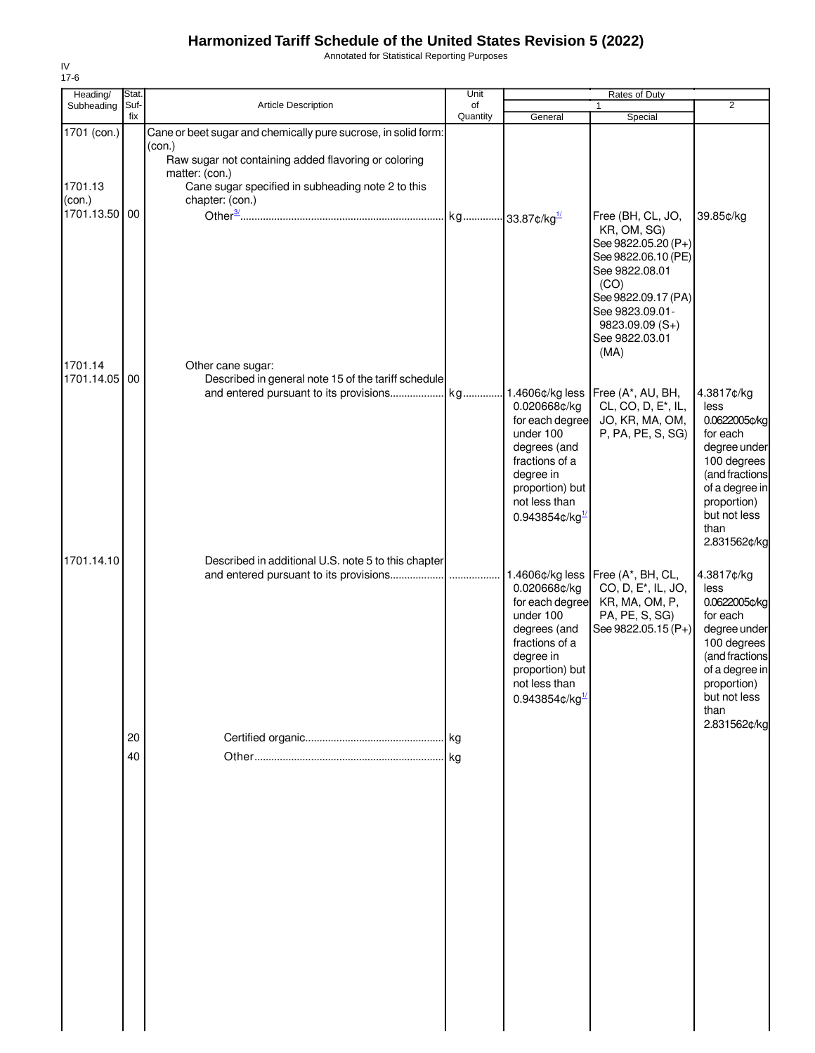Annotated for Statistical Reporting Purposes

| Heading/                                  | Stat.       |                                                                                                                                                                                                                            | Unit           |                                                                                                                                                                 | Rates of Duty                                                                                                                                                                                   |                                                                                                                                                                           |
|-------------------------------------------|-------------|----------------------------------------------------------------------------------------------------------------------------------------------------------------------------------------------------------------------------|----------------|-----------------------------------------------------------------------------------------------------------------------------------------------------------------|-------------------------------------------------------------------------------------------------------------------------------------------------------------------------------------------------|---------------------------------------------------------------------------------------------------------------------------------------------------------------------------|
| Subheading                                | Suf-<br>fix | Article Description                                                                                                                                                                                                        | of<br>Quantity | General                                                                                                                                                         | 1<br>Special                                                                                                                                                                                    | $\overline{2}$                                                                                                                                                            |
| 1701 (con.)<br>1701.13<br>(con.)          |             | Cane or beet sugar and chemically pure sucrose, in solid form:<br>(con.)<br>Raw sugar not containing added flavoring or coloring<br>matter: (con.)<br>Cane sugar specified in subheading note 2 to this<br>chapter: (con.) |                |                                                                                                                                                                 |                                                                                                                                                                                                 |                                                                                                                                                                           |
| 1701.13.50 00<br>1701.14<br>1701.14.05 00 |             | Other cane sugar:<br>Described in general note 15 of the tariff schedule                                                                                                                                                   |                |                                                                                                                                                                 | Free (BH, CL, JO,<br>KR, OM, SG)<br>See 9822.05.20 (P+)<br>See 9822.06.10 (PE)<br>See 9822.08.01<br>(CO)<br>See 9822.09.17 (PA)<br>See 9823.09.01-<br>9823.09.09 (S+)<br>See 9822.03.01<br>(MA) | 39.85¢/kg                                                                                                                                                                 |
|                                           |             |                                                                                                                                                                                                                            |                | 0.020668¢/kg<br>for each degree<br>under 100<br>degrees (and<br>fractions of a<br>degree in<br>proportion) but<br>not less than<br>0.943854¢/kg1                | CL, CO, D, E <sup>*</sup> , IL,<br>JO, KR, MA, OM,<br>P, PA, PE, S, SG)                                                                                                                         | 4.3817¢/kg<br>less<br>0.0622005¢/kg<br>for each<br>degree under<br>100 degrees<br>(and fractions<br>of a degree in<br>proportion)<br>but not less<br>than<br>2.831562¢/kg |
| 1701.14.10                                |             | Described in additional U.S. note 5 to this chapter<br>and entered pursuant to its provisions                                                                                                                              |                | 0.020668¢/kg<br>for each degree<br>under 100<br>degrees (and<br>fractions of a<br>degree in<br>proportion) but<br>not less than<br>$0.943854$ ¢/kg <sup>1</sup> | 1.4606¢/kg less   Free (A*, BH, CL,<br>CO, D, E <sup>*</sup> , IL, JO,<br>KR, MA, OM, P,<br>PA, PE, S, SG)<br>See 9822.05.15 (P+)                                                               | 4.3817¢/kg<br>less<br>0.0622005¢/kg<br>for each<br>degree under<br>100 degrees<br>(and fractions<br>of a degree in<br>proportion)<br>but not less<br>than                 |
|                                           | 20<br>40    |                                                                                                                                                                                                                            | kg             |                                                                                                                                                                 |                                                                                                                                                                                                 | 2.831562¢/kg                                                                                                                                                              |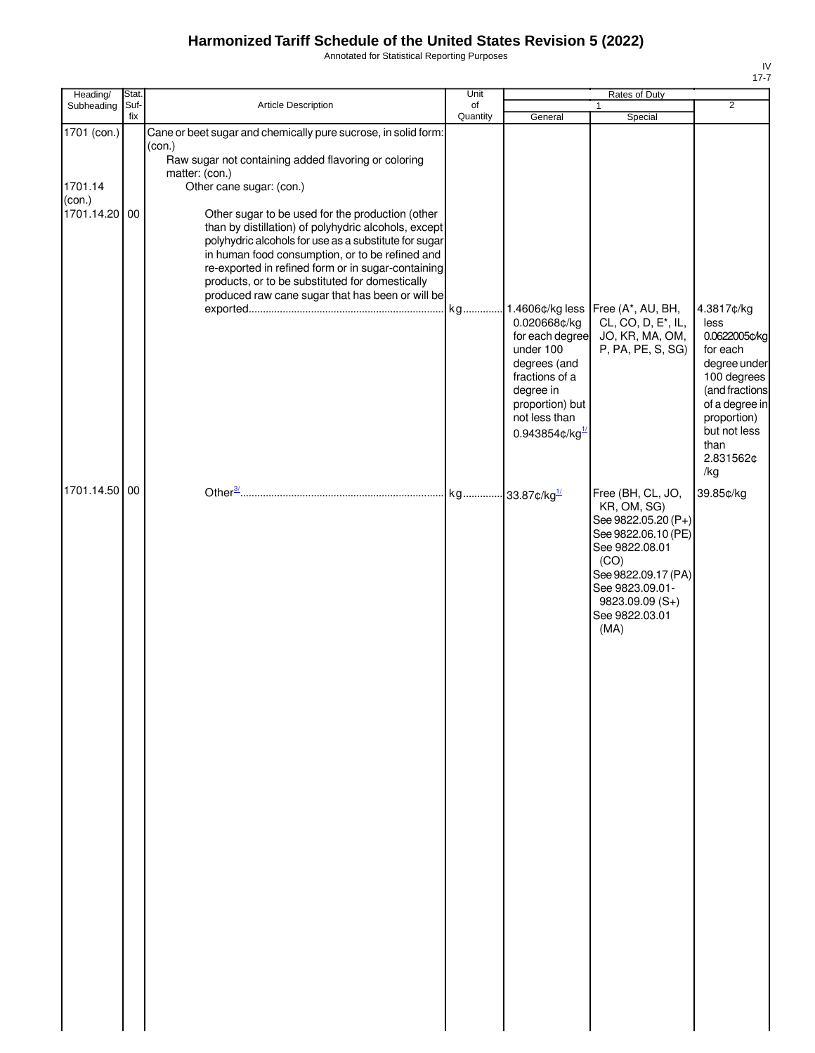Annotated for Statistical Reporting Purposes

| Heading/                                                                         | Stat. |                                                                                                                                                                                                                                                                                                                                                                                                                                                                                                                                                                                            | Unit     |                                                                                                                                                                               | Rates of Duty                                                                                                                                                              |                                                                                                                                                                                                              |
|----------------------------------------------------------------------------------|-------|--------------------------------------------------------------------------------------------------------------------------------------------------------------------------------------------------------------------------------------------------------------------------------------------------------------------------------------------------------------------------------------------------------------------------------------------------------------------------------------------------------------------------------------------------------------------------------------------|----------|-------------------------------------------------------------------------------------------------------------------------------------------------------------------------------|----------------------------------------------------------------------------------------------------------------------------------------------------------------------------|--------------------------------------------------------------------------------------------------------------------------------------------------------------------------------------------------------------|
|                                                                                  | fix   |                                                                                                                                                                                                                                                                                                                                                                                                                                                                                                                                                                                            | Quantity | General                                                                                                                                                                       |                                                                                                                                                                            |                                                                                                                                                                                                              |
| Subheading<br>1701 (con.)<br>1701.14<br>(con.)<br>1701.14.20 00<br>1701.14.50 00 | Suf-  | Article Description<br>Cane or beet sugar and chemically pure sucrose, in solid form:<br>(con.)<br>Raw sugar not containing added flavoring or coloring<br>matter: (con.)<br>Other cane sugar: (con.)<br>Other sugar to be used for the production (other<br>than by distillation) of polyhydric alcohols, except<br>polyhydric alcohols for use as a substitute for sugar<br>in human food consumption, or to be refined and<br>re-exported in refined form or in sugar-containing<br>products, or to be substituted for domestically<br>produced raw cane sugar that has been or will be | of       | 0.020668¢/kg<br>for each degree<br>under 100<br>degrees (and<br>fractions of a<br>degree in<br>proportion) but<br>not less than<br>0.943854¢/kg<br>kg 33.87¢/kg <sup>1/</sup> | $\mathbf{1}$<br>Special<br>CL, CO, D, E <sup>*</sup> , IL,<br>JO, KR, MA, OM,<br>P, PA, PE, S, SG)<br>Free (BH, CL, JO,                                                    | $\overline{2}$<br>4.3817¢/kg<br>less<br>0.0622005¢/kg<br>for each<br>degree under<br>100 degrees<br>(and fractions<br>of a degree in<br>proportion)<br>but not less<br>than<br>2.831562¢<br>/kg<br>39.85¢/kg |
|                                                                                  |       |                                                                                                                                                                                                                                                                                                                                                                                                                                                                                                                                                                                            |          |                                                                                                                                                                               | KR, OM, SG)<br>See 9822.05.20 (P+)<br>See 9822.06.10 (PE)<br>See 9822.08.01<br>(CO)<br>See 9822.09.17 (PA)<br>See 9823.09.01-<br>9823.09.09 (S+)<br>See 9822.03.01<br>(MA) |                                                                                                                                                                                                              |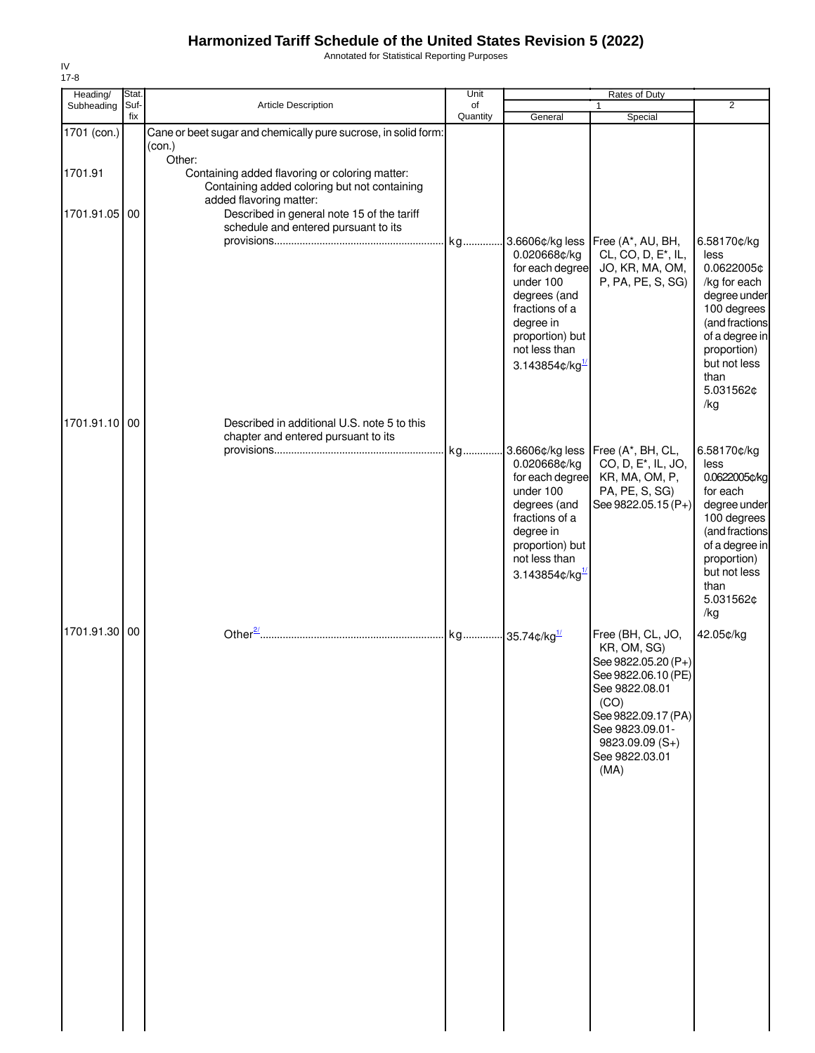Annotated for Statistical Reporting Purposes

| Heading/                 | Stat.       |                                                                                                                                                                                                                           | Unit           |                                                                                                                                                                                 | Rates of Duty                                                                                                                                                                                    |                                                                                                                                                                                |
|--------------------------|-------------|---------------------------------------------------------------------------------------------------------------------------------------------------------------------------------------------------------------------------|----------------|---------------------------------------------------------------------------------------------------------------------------------------------------------------------------------|--------------------------------------------------------------------------------------------------------------------------------------------------------------------------------------------------|--------------------------------------------------------------------------------------------------------------------------------------------------------------------------------|
| Subheading               | Suf-<br>fix | Article Description                                                                                                                                                                                                       | of<br>Quantity | General                                                                                                                                                                         | Special                                                                                                                                                                                          | $\overline{2}$                                                                                                                                                                 |
| 1701 (con.)              |             | Cane or beet sugar and chemically pure sucrose, in solid form:<br>(con.)                                                                                                                                                  |                |                                                                                                                                                                                 |                                                                                                                                                                                                  |                                                                                                                                                                                |
| 1701.91<br>1701.91.05 00 |             | Other:<br>Containing added flavoring or coloring matter:<br>Containing added coloring but not containing<br>added flavoring matter:<br>Described in general note 15 of the tariff<br>schedule and entered pursuant to its | kg             | 3.6606¢/kg less<br>0.020668¢/kg<br>for each degree<br>under 100<br>degrees (and<br>fractions of a<br>degree in<br>proportion) but<br>not less than<br>3.143854¢/kg <sup>1</sup> | Free (A*, AU, BH,<br>CL, CO, D, E <sup>*</sup> , IL,<br>JO, KR, MA, OM,<br>P, PA, PE, S, SG)                                                                                                     | 6.58170¢/kg<br>less<br>0.0622005¢<br>/kg for each<br>degree under<br>100 degrees<br>(and fractions<br>of a degree in<br>proportion)<br>but not less<br>than<br>5.031562¢       |
| 1701.91.10 00            |             | Described in additional U.S. note 5 to this<br>chapter and entered pursuant to its                                                                                                                                        |                |                                                                                                                                                                                 |                                                                                                                                                                                                  | /kg                                                                                                                                                                            |
|                          |             |                                                                                                                                                                                                                           | kg             | 0.020668¢/kg<br>for each degree<br>under 100<br>degrees (and<br>fractions of a<br>degree in<br>proportion) but<br>not less than<br>3.143854¢/kg $^{1/2}$                        | 3.6606¢/kg less Free (A*, BH, CL,<br>CO, D, E <sup>*</sup> , IL, JO,<br>KR, MA, OM, P,<br>PA, PE, S, SG)<br>See 9822.05.15 (P+)                                                                  | 6.58170¢/kg<br>less<br>0.0622005¢/kg<br>for each<br>degree under<br>100 degrees<br>(and fractions<br>of a degree in<br>proportion)<br>but not less<br>than<br>5.031562¢<br>/kg |
| 1701.91.30 00            |             |                                                                                                                                                                                                                           |                |                                                                                                                                                                                 | Free (BH, CL, JO,<br>KR, OM, SG)<br>See 9822.05.20 (P+)<br>See 9822.06.10 (PE)<br>See 9822.08.01<br>(CO)<br>See 9822.09.17 (PA)<br>See 9823.09.01-<br>$9823.09.09(S+)$<br>See 9822.03.01<br>(MA) | 42.05¢/kg                                                                                                                                                                      |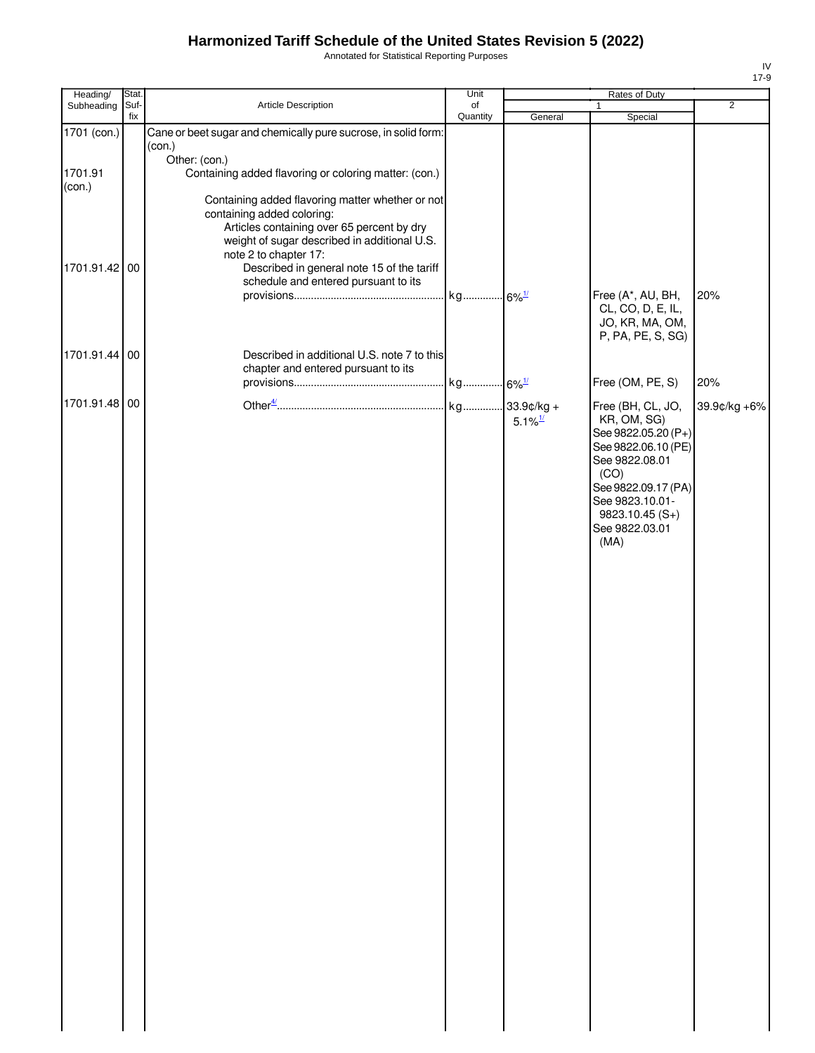Annotated for Statistical Reporting Purposes

| Heading/      | Stat.       |                                                                                                                                                                                                       | Unit           |                       | Rates of Duty                                                                           |                |
|---------------|-------------|-------------------------------------------------------------------------------------------------------------------------------------------------------------------------------------------------------|----------------|-----------------------|-----------------------------------------------------------------------------------------|----------------|
| Subheading    | Suf-<br>fix | Article Description                                                                                                                                                                                   | of<br>Quantity | General               | $\mathbf{1}$<br>Special                                                                 | $\overline{2}$ |
| 1701 (con.)   |             | Cane or beet sugar and chemically pure sucrose, in solid form:<br>(con.)                                                                                                                              |                |                       |                                                                                         |                |
| 1701.91       |             | Other: (con.)<br>Containing added flavoring or coloring matter: (con.)                                                                                                                                |                |                       |                                                                                         |                |
| (con.)        |             | Containing added flavoring matter whether or not<br>containing added coloring:<br>Articles containing over 65 percent by dry<br>weight of sugar described in additional U.S.<br>note 2 to chapter 17: |                |                       |                                                                                         |                |
| 1701.91.42 00 |             | Described in general note 15 of the tariff<br>schedule and entered pursuant to its                                                                                                                    |                |                       | Free (A*, AU, BH,                                                                       | 20%            |
|               |             |                                                                                                                                                                                                       |                |                       | CL, CO, D, E, IL,<br>JO, KR, MA, OM,<br>P, PA, PE, S, SG)                               |                |
| 1701.91.44 00 |             | Described in additional U.S. note 7 to this<br>chapter and entered pursuant to its                                                                                                                    |                |                       | Free (OM, PE, S)                                                                        | 20%            |
| 1701.91.48 00 |             |                                                                                                                                                                                                       |                | $5.1\%$ <sup>1/</sup> | Free (BH, CL, JO,<br>KR, OM, SG)<br>See 9822.05.20 (P+)                                 | 39.9¢/kg +6%   |
|               |             |                                                                                                                                                                                                       |                |                       | See 9822.06.10 (PE)<br>See 9822.08.01<br>(CO)<br>See 9822.09.17 (PA)<br>See 9823.10.01- |                |
|               |             |                                                                                                                                                                                                       |                |                       | $9823.10.45(S+)$<br>See 9822.03.01<br>(MA)                                              |                |
|               |             |                                                                                                                                                                                                       |                |                       |                                                                                         |                |
|               |             |                                                                                                                                                                                                       |                |                       |                                                                                         |                |
|               |             |                                                                                                                                                                                                       |                |                       |                                                                                         |                |
|               |             |                                                                                                                                                                                                       |                |                       |                                                                                         |                |
|               |             |                                                                                                                                                                                                       |                |                       |                                                                                         |                |
|               |             |                                                                                                                                                                                                       |                |                       |                                                                                         |                |
|               |             |                                                                                                                                                                                                       |                |                       |                                                                                         |                |
|               |             |                                                                                                                                                                                                       |                |                       |                                                                                         |                |
|               |             |                                                                                                                                                                                                       |                |                       |                                                                                         |                |
|               |             |                                                                                                                                                                                                       |                |                       |                                                                                         |                |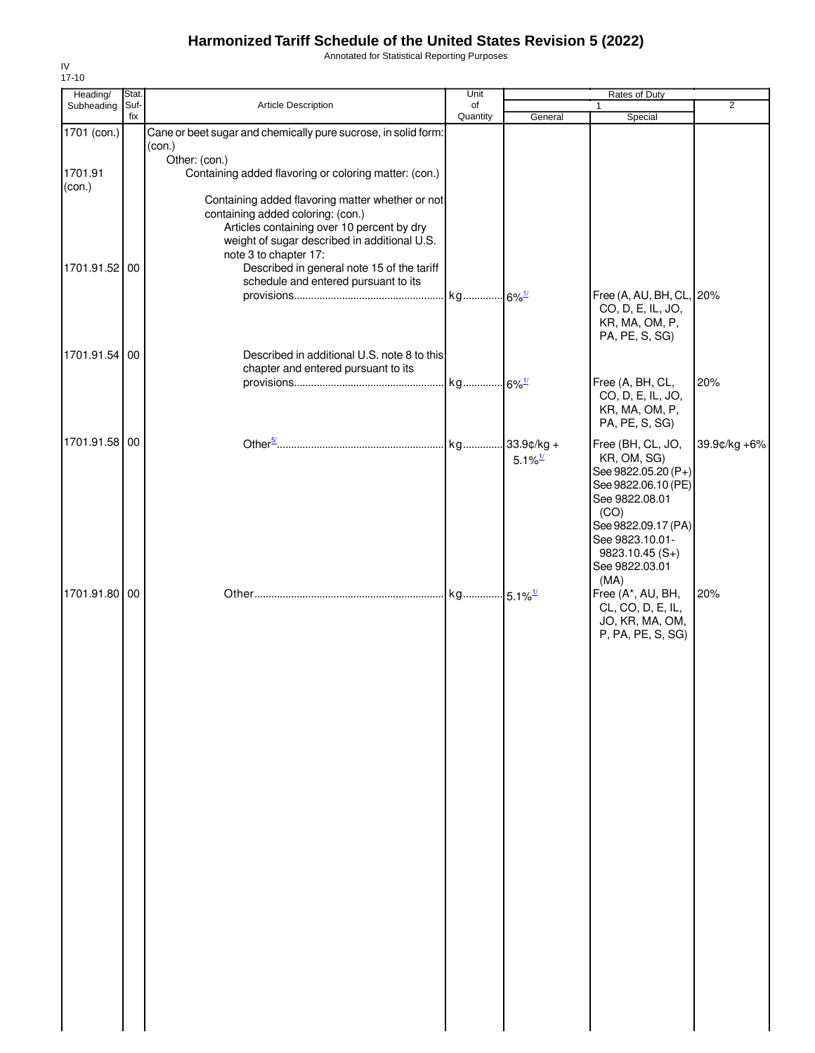Annotated for Statistical Reporting Purposes

| Heading/      | Stat.       |                                                                                            | Unit           |                       | Rates of Duty                          |                |
|---------------|-------------|--------------------------------------------------------------------------------------------|----------------|-----------------------|----------------------------------------|----------------|
| Subheading    | Suf-<br>fix | Article Description                                                                        | of<br>Quantity | General               | $\mathbf{1}$<br>Special                | $\overline{2}$ |
| 1701 (con.)   |             | Cane or beet sugar and chemically pure sucrose, in solid form:                             |                |                       |                                        |                |
|               |             | (con.)<br>Other: (con.)                                                                    |                |                       |                                        |                |
| 1701.91       |             | Containing added flavoring or coloring matter: (con.)                                      |                |                       |                                        |                |
| (con.)        |             | Containing added flavoring matter whether or not                                           |                |                       |                                        |                |
|               |             | containing added coloring: (con.)                                                          |                |                       |                                        |                |
|               |             | Articles containing over 10 percent by dry<br>weight of sugar described in additional U.S. |                |                       |                                        |                |
|               |             | note 3 to chapter 17:                                                                      |                |                       |                                        |                |
| 1701.91.52 00 |             | Described in general note 15 of the tariff                                                 |                |                       |                                        |                |
|               |             | schedule and entered pursuant to its                                                       |                |                       | Free (A, AU, BH, CL, 20%               |                |
|               |             |                                                                                            |                |                       | CO, D, E, IL, JO,                      |                |
|               |             |                                                                                            |                |                       | KR, MA, OM, P,<br>PA, PE, S, SG)       |                |
| 1701.91.54 00 |             | Described in additional U.S. note 8 to this                                                |                |                       |                                        |                |
|               |             | chapter and entered pursuant to its                                                        |                |                       |                                        |                |
|               |             |                                                                                            |                |                       | Free (A, BH, CL,<br>CO, D, E, IL, JO,  | 20%            |
|               |             |                                                                                            |                |                       | KR, MA, OM, P,                         |                |
|               |             |                                                                                            |                |                       | PA, PE, S, SG)                         |                |
| 1701.91.58 00 |             |                                                                                            |                | $33.9$ ¢/kg +         | Free (BH, CL, JO,                      | 39.9¢/kg +6%   |
|               |             |                                                                                            |                | $5.1\%$ <sup>1/</sup> | KR, OM, SG)<br>See 9822.05.20 (P+)     |                |
|               |             |                                                                                            |                |                       | See 9822.06.10 (PE)                    |                |
|               |             |                                                                                            |                |                       | See 9822.08.01<br>(CO)                 |                |
|               |             |                                                                                            |                |                       | See 9822.09.17 (PA)                    |                |
|               |             |                                                                                            |                |                       | See 9823.10.01-                        |                |
|               |             |                                                                                            |                |                       | $9823.10.45(S+)$<br>See 9822.03.01     |                |
|               |             |                                                                                            |                |                       | (MA)                                   |                |
| 1701.91.80 00 |             |                                                                                            |                |                       | Free (A*, AU, BH,<br>CL, CO, D, E, IL, | 20%            |
|               |             |                                                                                            |                |                       | JO, KR, MA, OM,                        |                |
|               |             |                                                                                            |                |                       | P, PA, PE, S, SG)                      |                |
|               |             |                                                                                            |                |                       |                                        |                |
|               |             |                                                                                            |                |                       |                                        |                |
|               |             |                                                                                            |                |                       |                                        |                |
|               |             |                                                                                            |                |                       |                                        |                |
|               |             |                                                                                            |                |                       |                                        |                |
|               |             |                                                                                            |                |                       |                                        |                |
|               |             |                                                                                            |                |                       |                                        |                |
|               |             |                                                                                            |                |                       |                                        |                |
|               |             |                                                                                            |                |                       |                                        |                |
|               |             |                                                                                            |                |                       |                                        |                |
|               |             |                                                                                            |                |                       |                                        |                |
|               |             |                                                                                            |                |                       |                                        |                |
|               |             |                                                                                            |                |                       |                                        |                |
|               |             |                                                                                            |                |                       |                                        |                |
|               |             |                                                                                            |                |                       |                                        |                |
|               |             |                                                                                            |                |                       |                                        |                |
|               |             |                                                                                            |                |                       |                                        |                |
|               |             |                                                                                            |                |                       |                                        |                |
|               |             |                                                                                            |                |                       |                                        |                |
|               |             |                                                                                            |                |                       |                                        |                |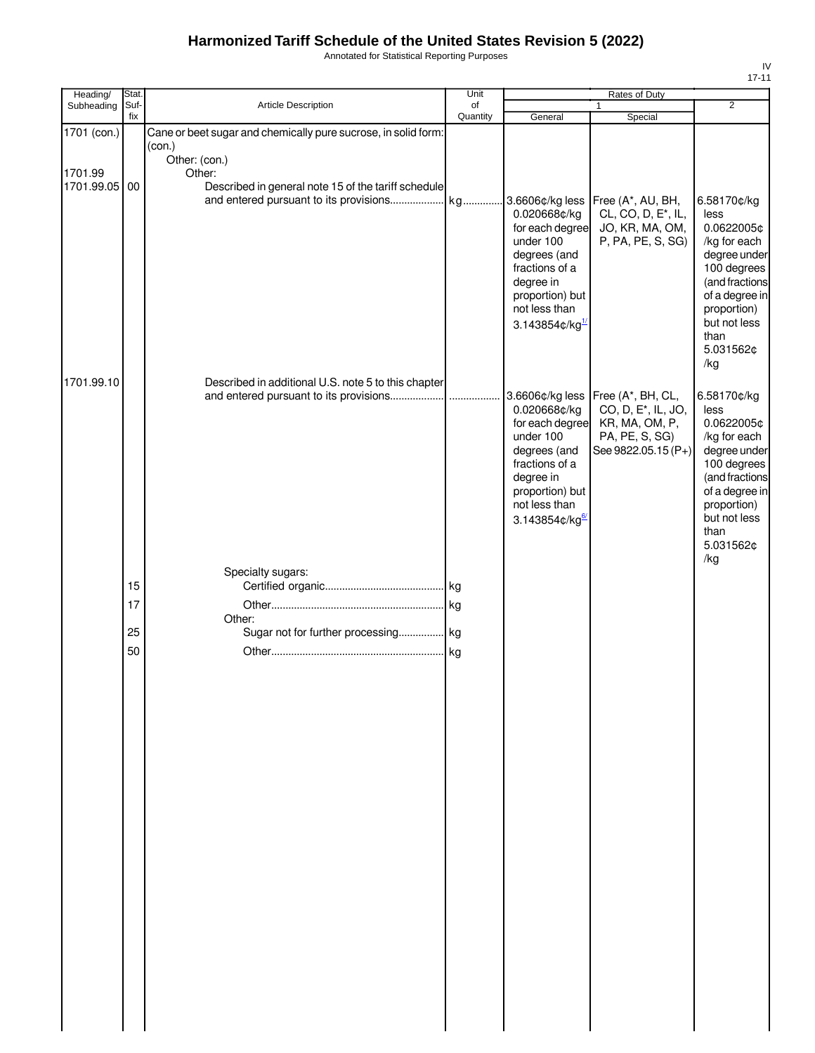Annotated for Statistical Reporting Purposes

| Heading/              | Stat.    |                                                                                | Unit           | Rates of Duty                                                                                                                                                                  |                                                                                                                                   |                                                                                                                                                                                 |
|-----------------------|----------|--------------------------------------------------------------------------------|----------------|--------------------------------------------------------------------------------------------------------------------------------------------------------------------------------|-----------------------------------------------------------------------------------------------------------------------------------|---------------------------------------------------------------------------------------------------------------------------------------------------------------------------------|
| Subheading            | Suf-     | Article Description                                                            | of<br>Quantity |                                                                                                                                                                                | $\mathbf{1}$                                                                                                                      | $\overline{2}$                                                                                                                                                                  |
| 1701 (con.)           | fix      | Cane or beet sugar and chemically pure sucrose, in solid form:<br>(con.)       |                | General                                                                                                                                                                        | Special                                                                                                                           |                                                                                                                                                                                 |
| 1701.99<br>1701.99.05 | 00       | Other: (con.)<br>Other:<br>Described in general note 15 of the tariff schedule |                | 3.6606¢/kg less<br>0.020668¢/kg<br>for each degree<br>under 100<br>degrees (and<br>fractions of a<br>degree in<br>proportion) but<br>not less than<br>3.143854 $\text{c/kg}^1$ | Free (A*, AU, BH,<br>CL, CO, D, E <sup>*</sup> , IL,<br>JO, KR, MA, OM,<br>P, PA, PE, S, SG)                                      | 6.58170¢/kg<br>less<br>0.0622005¢<br>/kg for each<br>degree under<br>100 degrees<br>(and fractions<br>of a degree in<br>proportion)<br>but not less<br>than<br>5.031562¢<br>/kg |
| 1701.99.10            |          | Described in additional U.S. note 5 to this chapter                            |                | 0.020668¢/kg<br>for each degree<br>under 100<br>degrees (and<br>fractions of a<br>degree in<br>proportion) but<br>not less than<br>3.143854¢/kg                                | 3.6606¢/kg less   Free (A*, BH, CL,<br>CO, D, E <sup>*</sup> , IL, JO,<br>KR, MA, OM, P,<br>PA, PE, S, SG)<br>See 9822.05.15 (P+) | 6.58170¢/kg<br>less<br>0.0622005¢<br>/kg for each<br>degree under<br>100 degrees<br>(and fractions<br>of a degree in<br>proportion)<br>but not less<br>than<br>5.031562¢        |
|                       | 15<br>17 | Specialty sugars:                                                              |                |                                                                                                                                                                                |                                                                                                                                   | /kg                                                                                                                                                                             |
|                       | 25<br>50 | Other:<br>Sugar not for further processing kg                                  |                |                                                                                                                                                                                |                                                                                                                                   |                                                                                                                                                                                 |
|                       |          |                                                                                |                |                                                                                                                                                                                |                                                                                                                                   |                                                                                                                                                                                 |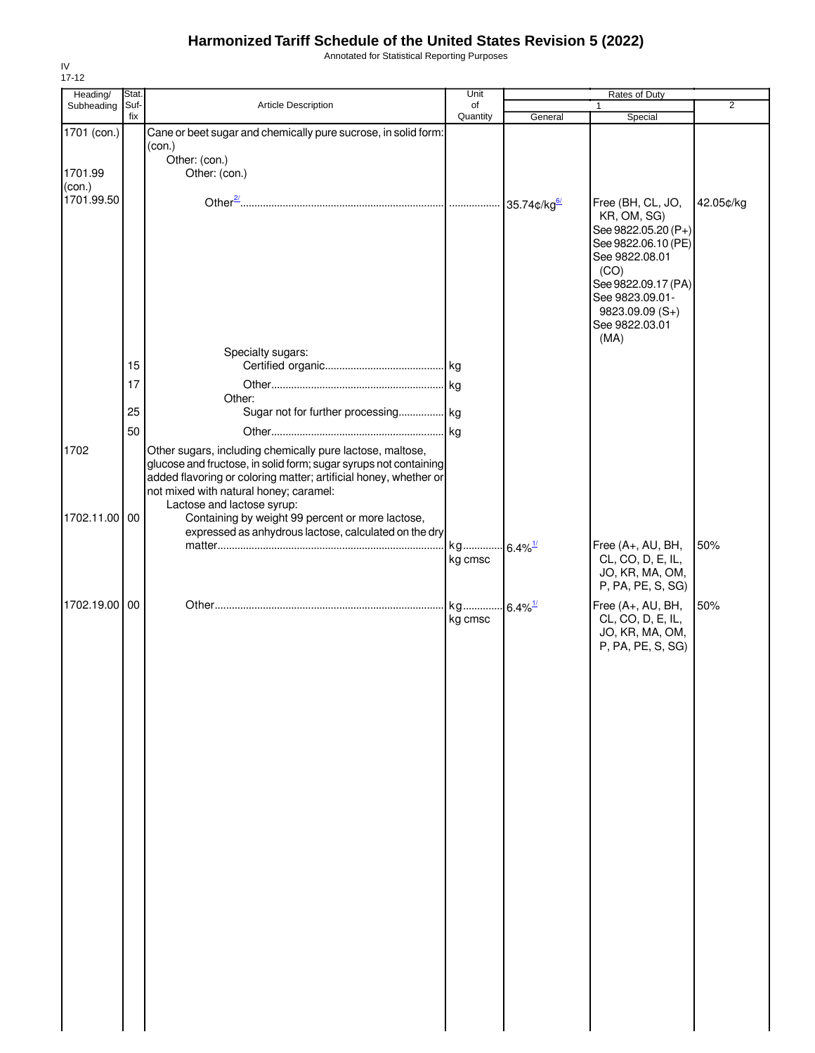Annotated for Statistical Reporting Purposes

| Heading/      | Stat. |                                                                      | Unit     |                        | Rates of Duty                      |                |
|---------------|-------|----------------------------------------------------------------------|----------|------------------------|------------------------------------|----------------|
| Subheading    | Suf-  | Article Description                                                  | of       |                        | $\mathbf{1}$                       | $\overline{2}$ |
|               | fix   |                                                                      | Quantity | General                | Special                            |                |
| 1701 (con.)   |       | Cane or beet sugar and chemically pure sucrose, in solid form:       |          |                        |                                    |                |
|               |       | (con.)<br>Other: (con.)                                              |          |                        |                                    |                |
| 1701.99       |       | Other: (con.)                                                        |          |                        |                                    |                |
| (con.)        |       |                                                                      |          |                        |                                    |                |
| 1701.99.50    |       |                                                                      |          |                        |                                    |                |
|               |       |                                                                      |          | 35.74 $\text{c/kg}$    | Free (BH, CL, JO,                  | 42.05¢/kg      |
|               |       |                                                                      |          |                        | KR, OM, SG)<br>See 9822.05.20 (P+) |                |
|               |       |                                                                      |          |                        | See 9822.06.10 (PE)                |                |
|               |       |                                                                      |          |                        | See 9822.08.01                     |                |
|               |       |                                                                      |          |                        | (CO)                               |                |
|               |       |                                                                      |          |                        | See 9822.09.17 (PA)                |                |
|               |       |                                                                      |          |                        | See 9823.09.01-                    |                |
|               |       |                                                                      |          |                        | 9823.09.09 (S+)                    |                |
|               |       |                                                                      |          |                        | See 9822.03.01                     |                |
|               |       |                                                                      |          |                        | (MA)                               |                |
|               |       | Specialty sugars:                                                    |          |                        |                                    |                |
|               | 15    |                                                                      |          |                        |                                    |                |
|               | 17    |                                                                      |          |                        |                                    |                |
|               |       | Other:                                                               |          |                        |                                    |                |
|               | 25    | Sugar not for further processing kg                                  |          |                        |                                    |                |
|               | 50    |                                                                      |          |                        |                                    |                |
|               |       |                                                                      |          |                        |                                    |                |
| 1702          |       | Other sugars, including chemically pure lactose, maltose,            |          |                        |                                    |                |
|               |       | glucose and fructose, in solid form; sugar syrups not containing     |          |                        |                                    |                |
|               |       | added flavoring or coloring matter; artificial honey, whether or     |          |                        |                                    |                |
|               |       | not mixed with natural honey; caramel:<br>Lactose and lactose syrup: |          |                        |                                    |                |
| 1702.11.00    | 00    | Containing by weight 99 percent or more lactose,                     |          |                        |                                    |                |
|               |       | expressed as anhydrous lactose, calculated on the dry                |          |                        |                                    |                |
|               |       |                                                                      | kg       | $6.4\%$ <sup>1/</sup>  | Free (A+, AU, BH,                  | 50%            |
|               |       |                                                                      | kg cmsc  |                        | CL, CO, D, E, IL,                  |                |
|               |       |                                                                      |          |                        | JO, KR, MA, OM,                    |                |
|               |       |                                                                      |          |                        | P, PA, PE, S, SG)                  |                |
| 1702.19.00 00 |       |                                                                      | kg       | $-6.4\%$ <sup>1/</sup> | Free (A+, AU, BH,                  | 50%            |
|               |       |                                                                      | kg cmsc  |                        | CL, CO, D, E, IL,                  |                |
|               |       |                                                                      |          |                        | JO, KR, MA, OM,                    |                |
|               |       |                                                                      |          |                        | P, PA, PE, S, SG)                  |                |
|               |       |                                                                      |          |                        |                                    |                |
|               |       |                                                                      |          |                        |                                    |                |
|               |       |                                                                      |          |                        |                                    |                |
|               |       |                                                                      |          |                        |                                    |                |
|               |       |                                                                      |          |                        |                                    |                |
|               |       |                                                                      |          |                        |                                    |                |
|               |       |                                                                      |          |                        |                                    |                |
|               |       |                                                                      |          |                        |                                    |                |
|               |       |                                                                      |          |                        |                                    |                |
|               |       |                                                                      |          |                        |                                    |                |
|               |       |                                                                      |          |                        |                                    |                |
|               |       |                                                                      |          |                        |                                    |                |
|               |       |                                                                      |          |                        |                                    |                |
|               |       |                                                                      |          |                        |                                    |                |
|               |       |                                                                      |          |                        |                                    |                |
|               |       |                                                                      |          |                        |                                    |                |
|               |       |                                                                      |          |                        |                                    |                |
|               |       |                                                                      |          |                        |                                    |                |
|               |       |                                                                      |          |                        |                                    |                |
|               |       |                                                                      |          |                        |                                    |                |
|               |       |                                                                      |          |                        |                                    |                |
|               |       |                                                                      |          |                        |                                    |                |
|               |       |                                                                      |          |                        |                                    |                |
|               |       |                                                                      |          |                        |                                    |                |
|               |       |                                                                      |          |                        |                                    |                |
|               |       |                                                                      |          |                        |                                    |                |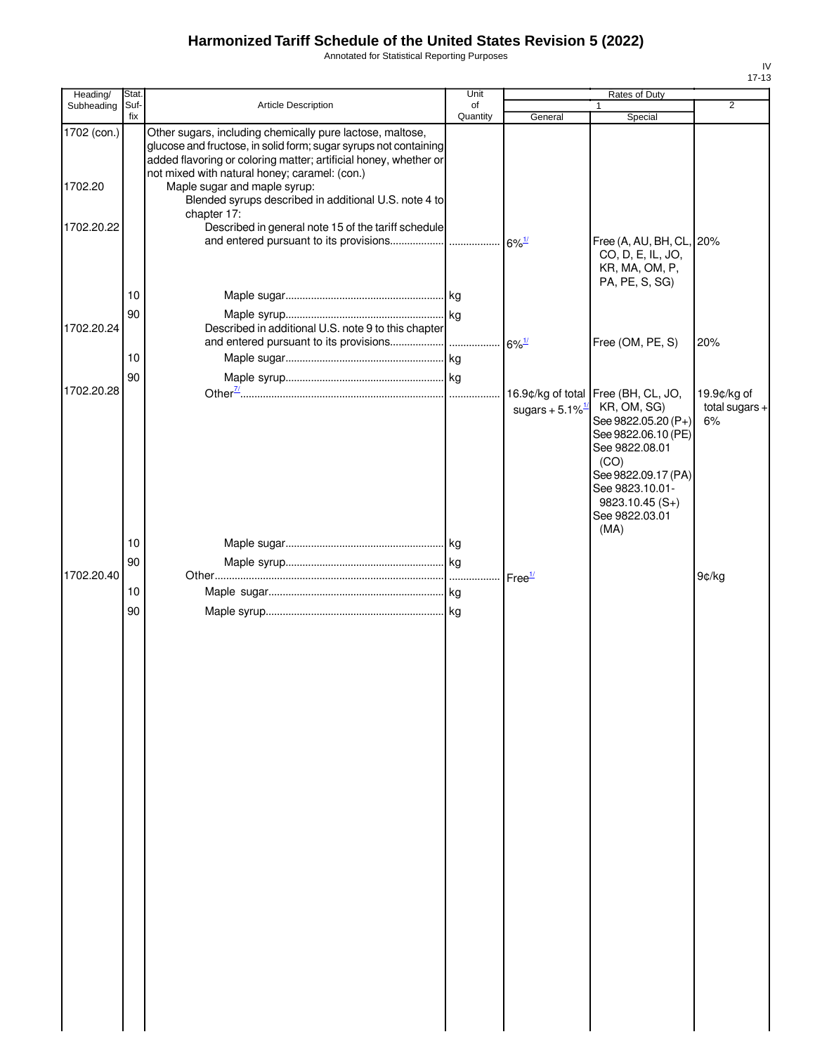Annotated for Statistical Reporting Purposes

| Heading/               | Stat.       |                                                                                                                                                                                                                                                                                    | Unit           |                                | Rates of Duty                                                                                                              |                                       |
|------------------------|-------------|------------------------------------------------------------------------------------------------------------------------------------------------------------------------------------------------------------------------------------------------------------------------------------|----------------|--------------------------------|----------------------------------------------------------------------------------------------------------------------------|---------------------------------------|
| Subheading             | Suf-<br>fix | <b>Article Description</b>                                                                                                                                                                                                                                                         | of<br>Quantity | General                        | $\mathbf{1}$<br>Special                                                                                                    | 2                                     |
| 1702 (con.)<br>1702.20 |             | Other sugars, including chemically pure lactose, maltose,<br>glucose and fructose, in solid form; sugar syrups not containing<br>added flavoring or coloring matter; artificial honey, whether or<br>not mixed with natural honey; caramel: (con.)<br>Maple sugar and maple syrup: |                |                                |                                                                                                                            |                                       |
| 1702.20.22             |             | Blended syrups described in additional U.S. note 4 to<br>chapter 17:<br>Described in general note 15 of the tariff schedule                                                                                                                                                        |                |                                | Free (A, AU, BH, CL, 20%                                                                                                   |                                       |
|                        | 10          |                                                                                                                                                                                                                                                                                    |                |                                | CO, D, E, IL, JO,<br>KR, MA, OM, P,<br>PA, PE, S, SG)                                                                      |                                       |
|                        |             |                                                                                                                                                                                                                                                                                    |                |                                |                                                                                                                            |                                       |
| 1702.20.24             | 90          | Described in additional U.S. note 9 to this chapter                                                                                                                                                                                                                                |                |                                | Free (OM, PE, S)                                                                                                           | 20%                                   |
|                        | 10          |                                                                                                                                                                                                                                                                                    |                |                                |                                                                                                                            |                                       |
|                        | 90          |                                                                                                                                                                                                                                                                                    |                |                                |                                                                                                                            |                                       |
| 1702.20.28             |             |                                                                                                                                                                                                                                                                                    |                | sugars + $5.1\%$ <sup>1/</sup> | 16.9¢/kg of total Free (BH, CL, JO,<br>KR, OM, SG)<br>See 9822.05.20 (P+)<br>See 9822.06.10 (PE)<br>See 9822.08.01<br>(CO) | 19.9¢/kg of<br>total sugars $+$<br>6% |
|                        | 10          |                                                                                                                                                                                                                                                                                    |                |                                | See 9822.09.17 (PA)<br>See 9823.10.01-<br>$9823.10.45(S+)$<br>See 9822.03.01<br>(MA)                                       |                                       |
|                        | 90          |                                                                                                                                                                                                                                                                                    |                |                                |                                                                                                                            |                                       |
| 1702.20.40             |             |                                                                                                                                                                                                                                                                                    |                | Free <sup>1/</sup>             |                                                                                                                            | 9¢/kg                                 |
|                        | 10          |                                                                                                                                                                                                                                                                                    |                |                                |                                                                                                                            |                                       |
|                        | 90          |                                                                                                                                                                                                                                                                                    |                |                                |                                                                                                                            |                                       |
|                        |             |                                                                                                                                                                                                                                                                                    |                |                                |                                                                                                                            |                                       |
|                        |             |                                                                                                                                                                                                                                                                                    |                |                                |                                                                                                                            |                                       |
|                        |             |                                                                                                                                                                                                                                                                                    |                |                                |                                                                                                                            |                                       |
|                        |             |                                                                                                                                                                                                                                                                                    |                |                                |                                                                                                                            |                                       |
|                        |             |                                                                                                                                                                                                                                                                                    |                |                                |                                                                                                                            |                                       |
|                        |             |                                                                                                                                                                                                                                                                                    |                |                                |                                                                                                                            |                                       |
|                        |             |                                                                                                                                                                                                                                                                                    |                |                                |                                                                                                                            |                                       |
|                        |             |                                                                                                                                                                                                                                                                                    |                |                                |                                                                                                                            |                                       |
|                        |             |                                                                                                                                                                                                                                                                                    |                |                                |                                                                                                                            |                                       |
|                        |             |                                                                                                                                                                                                                                                                                    |                |                                |                                                                                                                            |                                       |
|                        |             |                                                                                                                                                                                                                                                                                    |                |                                |                                                                                                                            |                                       |
|                        |             |                                                                                                                                                                                                                                                                                    |                |                                |                                                                                                                            |                                       |
|                        |             |                                                                                                                                                                                                                                                                                    |                |                                |                                                                                                                            |                                       |
|                        |             |                                                                                                                                                                                                                                                                                    |                |                                |                                                                                                                            |                                       |
|                        |             |                                                                                                                                                                                                                                                                                    |                |                                |                                                                                                                            |                                       |
|                        |             |                                                                                                                                                                                                                                                                                    |                |                                |                                                                                                                            |                                       |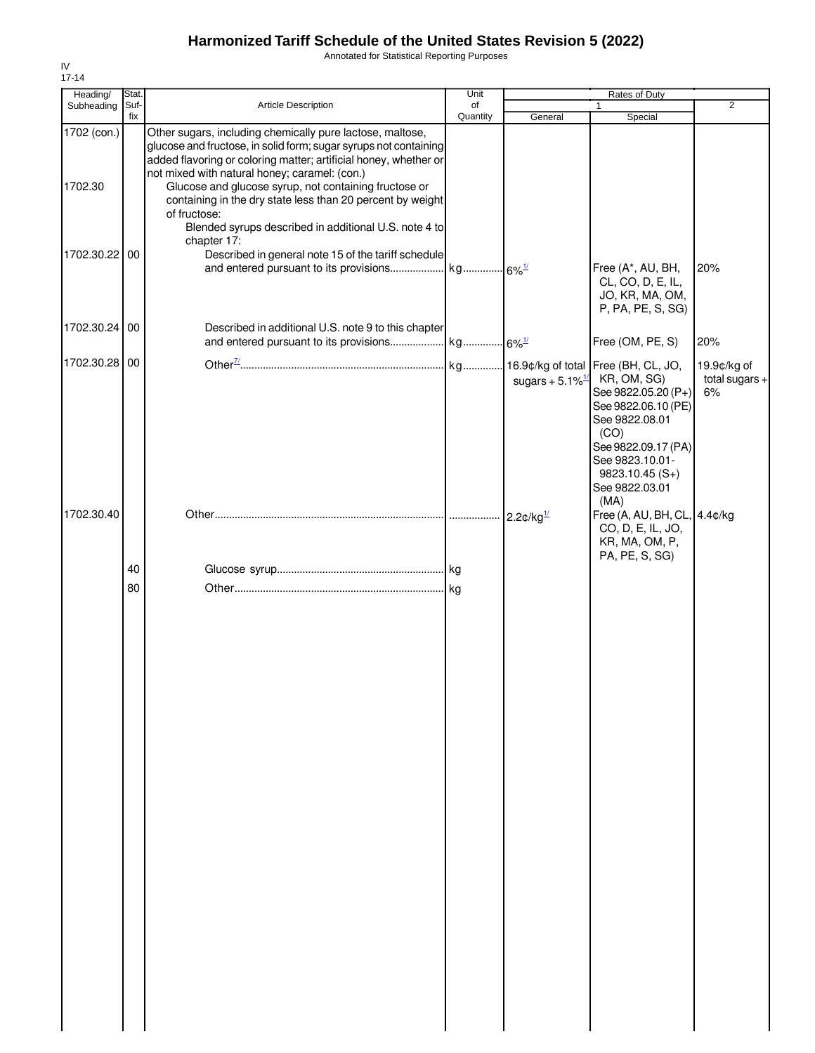Annotated for Statistical Reporting Purposes

| Heading/               | Stat.       |                                                                                                                                                                                                                                                                                                                                                                                           | Unit           |                                | Rates of Duty                                                                                                                                                               |                                     |
|------------------------|-------------|-------------------------------------------------------------------------------------------------------------------------------------------------------------------------------------------------------------------------------------------------------------------------------------------------------------------------------------------------------------------------------------------|----------------|--------------------------------|-----------------------------------------------------------------------------------------------------------------------------------------------------------------------------|-------------------------------------|
| Subheading             | Suf-<br>fix | Article Description                                                                                                                                                                                                                                                                                                                                                                       | of<br>Quantity | General                        | $\mathbf{1}$<br>Special                                                                                                                                                     | $\overline{2}$                      |
| 1702 (con.)<br>1702.30 |             | Other sugars, including chemically pure lactose, maltose,<br>glucose and fructose, in solid form; sugar syrups not containing<br>added flavoring or coloring matter; artificial honey, whether or<br>not mixed with natural honey; caramel: (con.)<br>Glucose and glucose syrup, not containing fructose or<br>containing in the dry state less than 20 percent by weight<br>of fructose: |                |                                |                                                                                                                                                                             |                                     |
|                        |             | Blended syrups described in additional U.S. note 4 to<br>chapter 17:                                                                                                                                                                                                                                                                                                                      |                |                                |                                                                                                                                                                             |                                     |
| 1702.30.22 00          |             | Described in general note 15 of the tariff schedule                                                                                                                                                                                                                                                                                                                                       |                |                                | Free (A*, AU, BH,<br>CL, CO, D, E, IL,<br>JO, KR, MA, OM,<br>P, PA, PE, S, SG)                                                                                              | 20%                                 |
| 1702.30.24 00          |             | Described in additional U.S. note 9 to this chapter                                                                                                                                                                                                                                                                                                                                       |                |                                |                                                                                                                                                                             |                                     |
|                        |             |                                                                                                                                                                                                                                                                                                                                                                                           |                |                                | Free (OM, PE, S)                                                                                                                                                            | 20%                                 |
| 1702.30.28 00          |             |                                                                                                                                                                                                                                                                                                                                                                                           |                | sugars + $5.1\%$ <sup>1/</sup> | KR, OM, SG)<br>See 9822.05.20 (P+)<br>See 9822.06.10 (PE)<br>See 9822.08.01<br>(CO)<br>See 9822.09.17 (PA)<br>See 9823.10.01-<br>$9823.10.45(S+)$<br>See 9822.03.01<br>(MA) | 19.9¢/kg of<br>total sugars +<br>6% |
| 1702.30.40             |             |                                                                                                                                                                                                                                                                                                                                                                                           |                | $2.2$ ¢/kg $\frac{1}{2}$       | Free (A, AU, BH, CL, 4.4¢/kg<br>CO, D, E, IL, JO,<br>KR, MA, OM, P,                                                                                                         |                                     |
|                        |             |                                                                                                                                                                                                                                                                                                                                                                                           |                |                                | PA, PE, S, SG)                                                                                                                                                              |                                     |
|                        | 40          |                                                                                                                                                                                                                                                                                                                                                                                           |                |                                |                                                                                                                                                                             |                                     |
|                        | 80          |                                                                                                                                                                                                                                                                                                                                                                                           |                |                                |                                                                                                                                                                             |                                     |
|                        |             |                                                                                                                                                                                                                                                                                                                                                                                           |                |                                |                                                                                                                                                                             |                                     |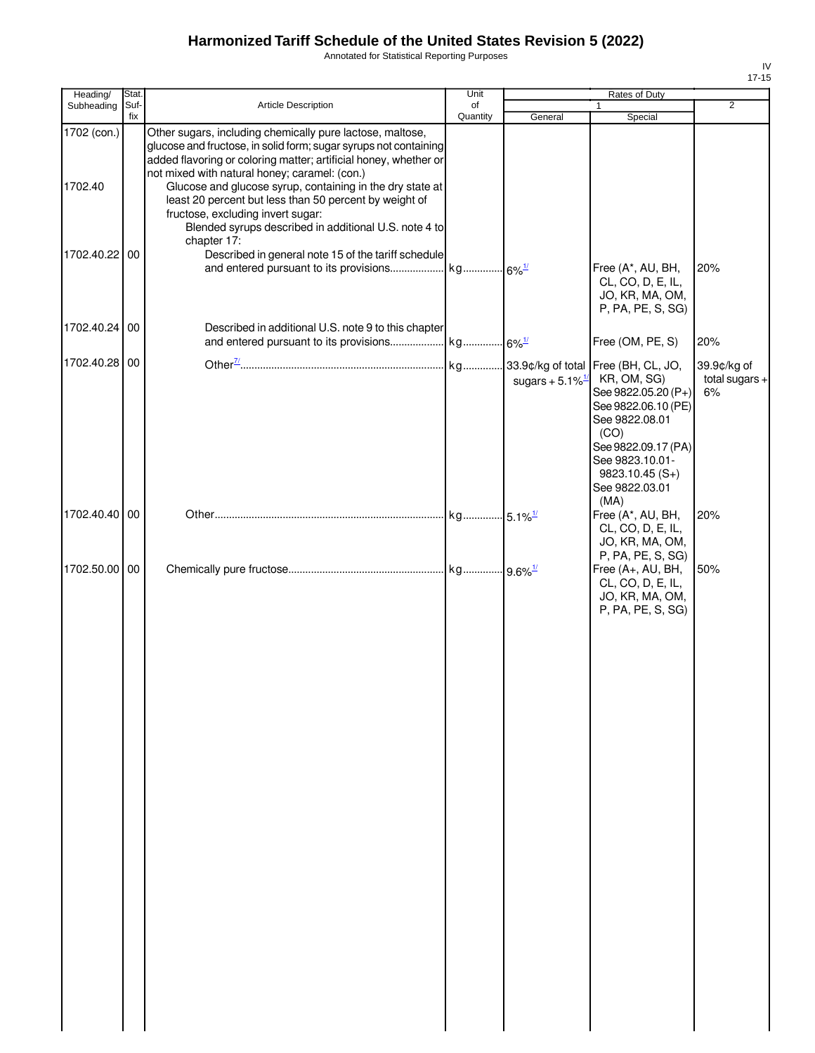Annotated for Statistical Reporting Purposes

| Heading/               | Stat.       |                                                                                                                                                                                                                                                                                                                                                                                                                                                                                        | Unit           |                                | Rates of Duty                                                                                                                                                                                                      |                                       |
|------------------------|-------------|----------------------------------------------------------------------------------------------------------------------------------------------------------------------------------------------------------------------------------------------------------------------------------------------------------------------------------------------------------------------------------------------------------------------------------------------------------------------------------------|----------------|--------------------------------|--------------------------------------------------------------------------------------------------------------------------------------------------------------------------------------------------------------------|---------------------------------------|
| Subheading             | Suf-<br>fix | Article Description                                                                                                                                                                                                                                                                                                                                                                                                                                                                    | of<br>Quantity | General                        | $\mathbf{1}$<br>Special                                                                                                                                                                                            | 2                                     |
| 1702 (con.)<br>1702.40 |             | Other sugars, including chemically pure lactose, maltose,<br>glucose and fructose, in solid form; sugar syrups not containing<br>added flavoring or coloring matter; artificial honey, whether or<br>not mixed with natural honey; caramel: (con.)<br>Glucose and glucose syrup, containing in the dry state at<br>least 20 percent but less than 50 percent by weight of<br>fructose, excluding invert sugar:<br>Blended syrups described in additional U.S. note 4 to<br>chapter 17: |                |                                |                                                                                                                                                                                                                    |                                       |
| 1702.40.22 00          |             | Described in general note 15 of the tariff schedule                                                                                                                                                                                                                                                                                                                                                                                                                                    |                |                                | Free (A*, AU, BH,<br>CL, CO, D, E, IL,<br>JO, KR, MA, OM,<br>P, PA, PE, S, SG)                                                                                                                                     | 20%                                   |
| 1702.40.24 00          |             | Described in additional U.S. note 9 to this chapter                                                                                                                                                                                                                                                                                                                                                                                                                                    |                |                                | Free (OM, PE, S)                                                                                                                                                                                                   | 20%                                   |
| 1702.40.28 00          |             |                                                                                                                                                                                                                                                                                                                                                                                                                                                                                        |                | sugars + $5.1\%$ <sup>1/</sup> | 33.9¢/kg of total Free (BH, CL, JO,<br>KR, OM, SG)<br>See 9822.05.20 (P+)<br>See 9822.06.10 (PE)<br>See 9822.08.01<br>(CO)<br>See 9822.09.17 (PA)<br>See 9823.10.01-<br>$9823.10.45(S+)$<br>See 9822.03.01<br>(MA) | 39.9¢/kg of<br>total sugars $+$<br>6% |
| 1702.40.40 00          |             |                                                                                                                                                                                                                                                                                                                                                                                                                                                                                        |                |                                | Free (A*, AU, BH,<br>CL, CO, D, E, IL,<br>JO, KR, MA, OM,                                                                                                                                                          | 20%                                   |
| 1702.50.00 00          |             |                                                                                                                                                                                                                                                                                                                                                                                                                                                                                        |                |                                | P, PA, PE, S, SG)<br>Free (A+, AU, BH,<br>CL, CO, D, E, IL,<br>JO, KR, MA, OM,<br>P, PA, PE, S, SG)                                                                                                                | 50%                                   |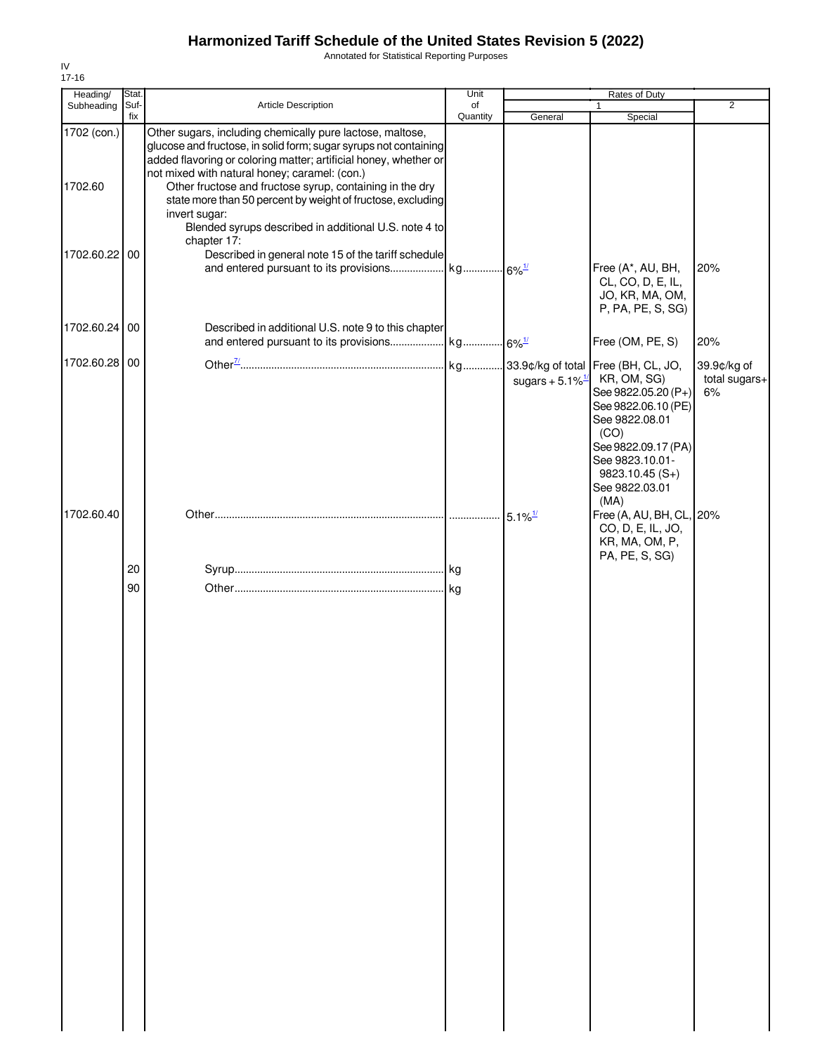Annotated for Statistical Reporting Purposes

| Heading/               | Stat.    |                                                                                                                                                                                                                                                                                                                | Unit     |                                | Rates of Duty                                                                                                                                                              |                                    |
|------------------------|----------|----------------------------------------------------------------------------------------------------------------------------------------------------------------------------------------------------------------------------------------------------------------------------------------------------------------|----------|--------------------------------|----------------------------------------------------------------------------------------------------------------------------------------------------------------------------|------------------------------------|
| Subheading             | Suf-     | Article Description                                                                                                                                                                                                                                                                                            | of       |                                |                                                                                                                                                                            | $\overline{2}$                     |
| 1702 (con.)<br>1702.60 | fix      | Other sugars, including chemically pure lactose, maltose,<br>glucose and fructose, in solid form; sugar syrups not containing<br>added flavoring or coloring matter; artificial honey, whether or<br>not mixed with natural honey; caramel: (con.)<br>Other fructose and fructose syrup, containing in the dry | Quantity | General                        | Special                                                                                                                                                                    |                                    |
|                        |          | state more than 50 percent by weight of fructose, excluding<br>invert sugar:<br>Blended syrups described in additional U.S. note 4 to<br>chapter 17:                                                                                                                                                           |          |                                |                                                                                                                                                                            |                                    |
| 1702.60.22 00          |          | Described in general note 15 of the tariff schedule                                                                                                                                                                                                                                                            |          |                                | Free (A*, AU, BH,<br>CL, CO, D, E, IL,<br>JO, KR, MA, OM,<br>P, PA, PE, S, SG)                                                                                             | 20%                                |
| 1702.60.24 00          |          | Described in additional U.S. note 9 to this chapter                                                                                                                                                                                                                                                            |          |                                | Free (OM, PE, S)                                                                                                                                                           | 20%                                |
| 1702.60.28 00          |          |                                                                                                                                                                                                                                                                                                                |          | sugars + $5.1\%$ <sup>1/</sup> | KR, OM, SG)<br>See 9822.05.20 (P+)<br>See 9822.06.10 (PE)<br>See 9822.08.01<br>(CO)<br>See 9822.09.17 (PA)<br>See 9823.10.01-<br>9823.10.45 (S+)<br>See 9822.03.01<br>(MA) | 39.9¢/kg of<br>total sugars+<br>6% |
| 1702.60.40             |          |                                                                                                                                                                                                                                                                                                                |          | $5.1\%$ <sup>1/</sup>          | Free (A, AU, BH, CL, 20%<br>CO, D, E, IL, JO,<br>KR, MA, OM, P,<br>PA, PE, S, SG)                                                                                          |                                    |
|                        | 20<br>90 |                                                                                                                                                                                                                                                                                                                |          |                                |                                                                                                                                                                            |                                    |
|                        |          |                                                                                                                                                                                                                                                                                                                |          |                                |                                                                                                                                                                            |                                    |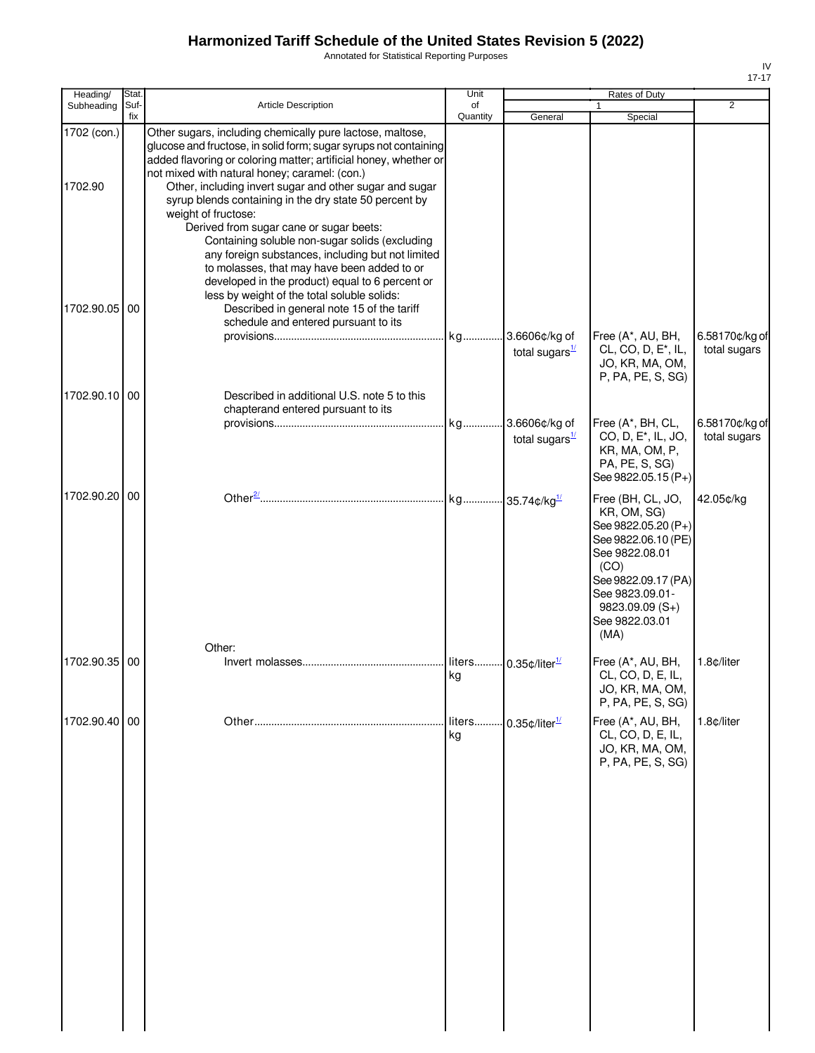Annotated for Statistical Reporting Purposes

| Heading/               | Stat.       |                                                                                                                                                                                                                                                                                                                                                                                                                                                                                             | Unit           |                                  | Rates of Duty                                                                                                                                                                                    |                                |
|------------------------|-------------|---------------------------------------------------------------------------------------------------------------------------------------------------------------------------------------------------------------------------------------------------------------------------------------------------------------------------------------------------------------------------------------------------------------------------------------------------------------------------------------------|----------------|----------------------------------|--------------------------------------------------------------------------------------------------------------------------------------------------------------------------------------------------|--------------------------------|
| Subheading             | Suf-<br>fix | Article Description                                                                                                                                                                                                                                                                                                                                                                                                                                                                         | of<br>Quantity | General                          | 1<br>Special                                                                                                                                                                                     | $\overline{2}$                 |
| 1702 (con.)<br>1702.90 |             | Other sugars, including chemically pure lactose, maltose,<br>glucose and fructose, in solid form; sugar syrups not containing<br>added flavoring or coloring matter; artificial honey, whether or<br>not mixed with natural honey; caramel: (con.)<br>Other, including invert sugar and other sugar and sugar<br>syrup blends containing in the dry state 50 percent by<br>weight of fructose:<br>Derived from sugar cane or sugar beets:<br>Containing soluble non-sugar solids (excluding |                |                                  |                                                                                                                                                                                                  |                                |
| 1702.90.05             | 00          | any foreign substances, including but not limited<br>to molasses, that may have been added to or<br>developed in the product) equal to 6 percent or<br>less by weight of the total soluble solids:<br>Described in general note 15 of the tariff<br>schedule and entered pursuant to its                                                                                                                                                                                                    |                | total sugars $\frac{1}{2}$       | Free (A*, AU, BH,<br>CL, CO, D, E <sup>*</sup> , IL,<br>JO, KR, MA, OM,<br>P, PA, PE, S, SG)                                                                                                     | 6.58170¢/kg of<br>total sugars |
| 1702.90.10 00          |             | Described in additional U.S. note 5 to this                                                                                                                                                                                                                                                                                                                                                                                                                                                 |                |                                  |                                                                                                                                                                                                  |                                |
|                        |             | chapterand entered pursuant to its                                                                                                                                                                                                                                                                                                                                                                                                                                                          |                | total sugars $\frac{1}{2}$       | Free (A*, BH, CL,<br>CO, D, E <sup>*</sup> , IL, JO,<br>KR, MA, OM, P,<br>PA, PE, S, SG)<br>See 9822.05.15 (P+)                                                                                  | 6.58170¢/kg of<br>total sugars |
| 1702.90.20 00          |             |                                                                                                                                                                                                                                                                                                                                                                                                                                                                                             |                |                                  | Free (BH, CL, JO,<br>KR, OM, SG)<br>See 9822.05.20 (P+)<br>See 9822.06.10 (PE)<br>See 9822.08.01<br>(CO)<br>See 9822.09.17 (PA)<br>See 9823.09.01-<br>$9823.09.09(S+)$<br>See 9822.03.01<br>(MA) | 42.05¢/kg                      |
| 1702.90.35             | 00          | Other:                                                                                                                                                                                                                                                                                                                                                                                                                                                                                      | kg             | liters 0.35¢/liter <sup>1/</sup> | Free (A*, AU, BH,<br>CL, CO, D, E, IL,<br>JO, KR, MA, OM,<br>P, PA, PE, S, SG)                                                                                                                   | 1.8¢/liter                     |
| 1702.90.40             | 00          |                                                                                                                                                                                                                                                                                                                                                                                                                                                                                             | kg             | liters 0.35¢/liter <sup>1/</sup> | Free (A*, AU, BH,<br>CL, CO, D, E, IL,<br>JO, KR, MA, OM,<br>P, PA, PE, S, SG)                                                                                                                   | 1.8c/liter                     |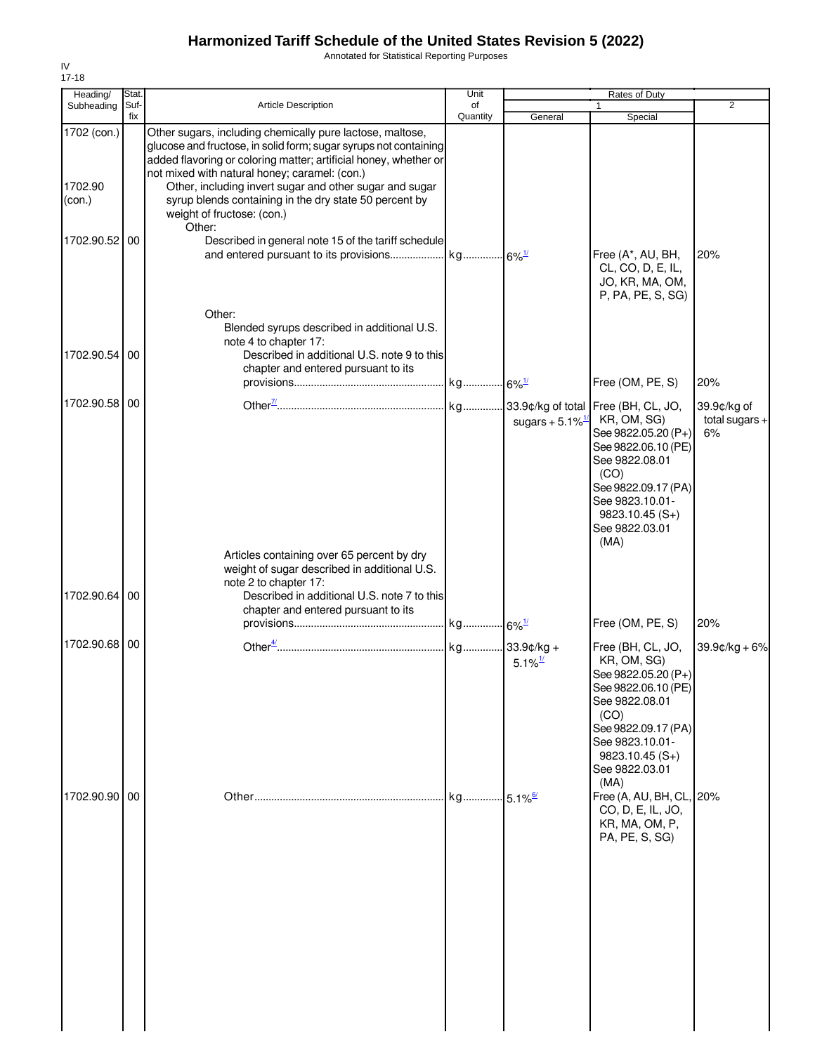Annotated for Statistical Reporting Purposes

| Heading/                         | Stat.       |                                                                                                                                                                                                                                                                                                                                                                                                                 | Unit           |                                | Rates of Duty                                                                                                                                                                                    |                                       |
|----------------------------------|-------------|-----------------------------------------------------------------------------------------------------------------------------------------------------------------------------------------------------------------------------------------------------------------------------------------------------------------------------------------------------------------------------------------------------------------|----------------|--------------------------------|--------------------------------------------------------------------------------------------------------------------------------------------------------------------------------------------------|---------------------------------------|
| Subheading                       | Suf-<br>fix | <b>Article Description</b>                                                                                                                                                                                                                                                                                                                                                                                      | of<br>Quantity | General                        | $\mathbf{1}$<br>Special                                                                                                                                                                          | 2                                     |
| 1702 (con.)<br>1702.90<br>(con.) |             | Other sugars, including chemically pure lactose, maltose,<br>glucose and fructose, in solid form; sugar syrups not containing<br>added flavoring or coloring matter; artificial honey, whether or<br>not mixed with natural honey; caramel: (con.)<br>Other, including invert sugar and other sugar and sugar<br>syrup blends containing in the dry state 50 percent by<br>weight of fructose: (con.)<br>Other: |                |                                |                                                                                                                                                                                                  |                                       |
| 1702.90.52 00                    |             | Described in general note 15 of the tariff schedule                                                                                                                                                                                                                                                                                                                                                             |                |                                | Free (A*, AU, BH,<br>CL, CO, D, E, IL,<br>JO, KR, MA, OM,<br>P, PA, PE, S, SG)                                                                                                                   | 20%                                   |
| 1702.90.54 00                    |             | Other:<br>Blended syrups described in additional U.S.<br>note 4 to chapter 17:<br>Described in additional U.S. note 9 to this<br>chapter and entered pursuant to its                                                                                                                                                                                                                                            |                |                                | Free (OM, PE, S)                                                                                                                                                                                 | 20%                                   |
| 1702.90.58                       | 00          |                                                                                                                                                                                                                                                                                                                                                                                                                 |                | sugars + $5.1\%$ <sup>1/</sup> | KR, OM, SG)<br>See 9822.05.20 (P+)<br>See 9822.06.10 (PE)<br>See 9822.08.01<br>(CO)<br>See 9822.09.17 (PA)<br>See 9823.10.01-<br>$9823.10.45(S+)$<br>See 9822.03.01<br>(MA)                      | 39.9¢/kg of<br>total sugars $+$<br>6% |
| 1702.90.64 00                    |             | Articles containing over 65 percent by dry<br>weight of sugar described in additional U.S.<br>note 2 to chapter 17:<br>Described in additional U.S. note 7 to this<br>chapter and entered pursuant to its                                                                                                                                                                                                       |                |                                |                                                                                                                                                                                                  |                                       |
|                                  |             |                                                                                                                                                                                                                                                                                                                                                                                                                 |                |                                | Free (OM, PE, S)                                                                                                                                                                                 | 20%                                   |
| 1702.90.68 00                    |             |                                                                                                                                                                                                                                                                                                                                                                                                                 |                | $5.1\%$ <sup>1/</sup>          | Free (BH, CL, JO,<br>KR, OM, SG)<br>See 9822.05.20 (P+)<br>See 9822.06.10 (PE)<br>See 9822.08.01<br>(CO)<br>See 9822.09.17 (PA)<br>See 9823.10.01-<br>$9823.10.45(S+)$<br>See 9822.03.01<br>(MA) | $39.9$ ¢/kg + 6%                      |
| 1702.90.90 00                    |             |                                                                                                                                                                                                                                                                                                                                                                                                                 |                | $5.1\%$ <sup>6/</sup>          | Free (A, AU, BH, CL, 20%<br>CO, D, E, IL, JO,<br>KR, MA, OM, P,<br>PA, PE, S, SG)                                                                                                                |                                       |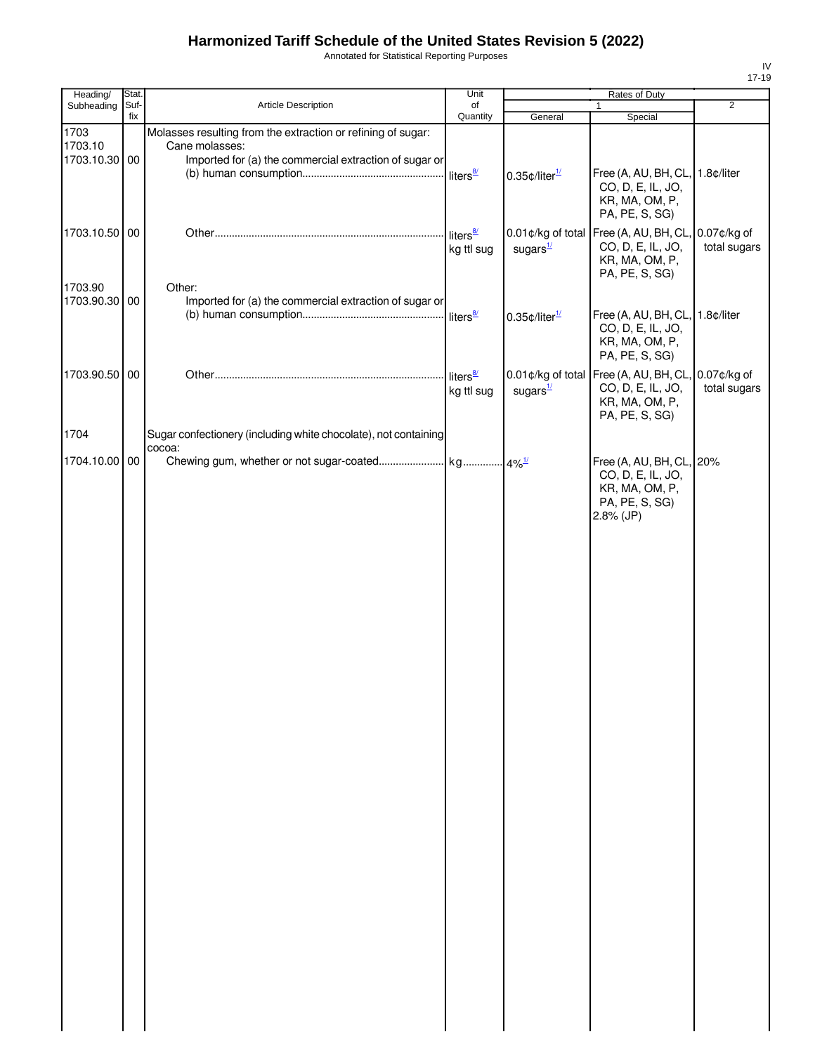Annotated for Statistical Reporting Purposes

| Heading/      | Stat. |                                                                           | Unit                               | Rates of Duty                |                                                                                           |                |  |
|---------------|-------|---------------------------------------------------------------------------|------------------------------------|------------------------------|-------------------------------------------------------------------------------------------|----------------|--|
| Subheading    | Suf-  | Article Description                                                       | of                                 |                              | $\mathbf{1}$                                                                              | $\overline{2}$ |  |
| 1703          | fix   | Molasses resulting from the extraction or refining of sugar:              | Quantity                           | General                      | Special                                                                                   |                |  |
| 1703.10       |       | Cane molasses:                                                            |                                    |                              |                                                                                           |                |  |
| 1703.10.30 00 |       | Imported for (a) the commercial extraction of sugar or                    |                                    | $0.35$ ¢/liter $\frac{1}{2}$ | Free (A, AU, BH, CL, 1.8¢/liter<br>CO, D, E, IL, JO,<br>KR, MA, OM, P,<br>PA, PE, S, SG)  |                |  |
| 1703.10.50 00 |       |                                                                           | liters <sup>8/</sup><br>kg ttl sug | sugars $\frac{1}{2}$         | 0.01¢/kg of total Free (A, AU, BH, CL, 0.07¢/kg of<br>CO, D, E, IL, JO,                   | total sugars   |  |
| 1703.90       |       | Other:                                                                    |                                    |                              | KR, MA, OM, P,<br>PA, PE, S, SG)                                                          |                |  |
| 1703.90.30 00 |       | Imported for (a) the commercial extraction of sugar or                    |                                    | $0.35$ ¢/liter $\frac{1}{1}$ | Free (A, AU, BH, CL, 1.8¢/liter                                                           |                |  |
|               |       |                                                                           |                                    |                              | CO, D, E, IL, JO,<br>KR, MA, OM, P,<br>PA, PE, S, SG)                                     |                |  |
| 1703.90.50 00 |       |                                                                           | liters $\frac{8}{2}$<br>kg ttl sug | sugars $\frac{1}{2}$         | 0.01¢/kg of total Free (A, AU, BH, CL, 0.07¢/kg of<br>CO, D, E, IL, JO,<br>KR, MA, OM, P, | total sugars   |  |
| 1704          |       | Sugar confectionery (including white chocolate), not containing<br>cocoa: |                                    |                              | PA, PE, S, SG)                                                                            |                |  |
| 1704.10.00 00 |       |                                                                           |                                    |                              | Free (A, AU, BH, CL, 20%<br>CO, D, E, IL, JO,<br>KR, MA, OM, P,                           |                |  |
|               |       |                                                                           |                                    |                              | PA, PE, S, SG)<br>$2.8%$ (JP)                                                             |                |  |
|               |       |                                                                           |                                    |                              |                                                                                           |                |  |
|               |       |                                                                           |                                    |                              |                                                                                           |                |  |
|               |       |                                                                           |                                    |                              |                                                                                           |                |  |
|               |       |                                                                           |                                    |                              |                                                                                           |                |  |
|               |       |                                                                           |                                    |                              |                                                                                           |                |  |
|               |       |                                                                           |                                    |                              |                                                                                           |                |  |
|               |       |                                                                           |                                    |                              |                                                                                           |                |  |
|               |       |                                                                           |                                    |                              |                                                                                           |                |  |
|               |       |                                                                           |                                    |                              |                                                                                           |                |  |
|               |       |                                                                           |                                    |                              |                                                                                           |                |  |
|               |       |                                                                           |                                    |                              |                                                                                           |                |  |
|               |       |                                                                           |                                    |                              |                                                                                           |                |  |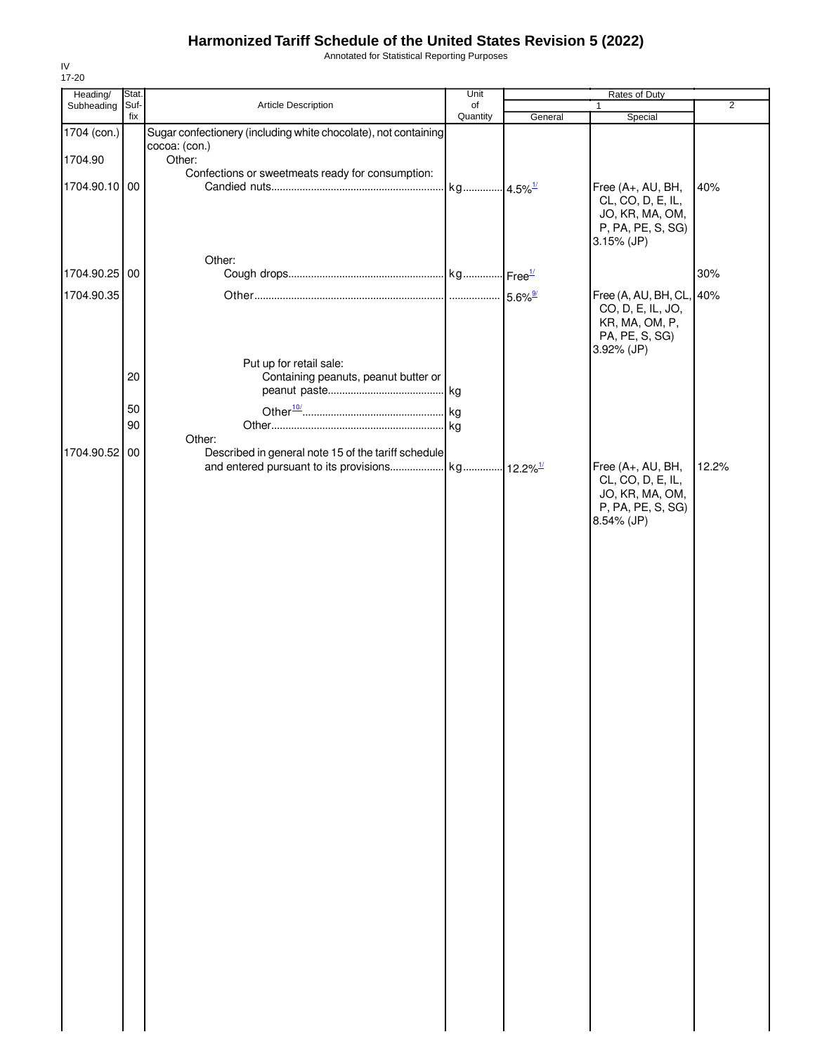Annotated for Statistical Reporting Purposes

| Heading/      | Stat.       |                                                                 | Unit                  |         | Rates of Duty                        |                |
|---------------|-------------|-----------------------------------------------------------------|-----------------------|---------|--------------------------------------|----------------|
| Subheading    | Suf-<br>fix | Article Description                                             | of<br>Quantity        | General | 1<br>Special                         | $\overline{2}$ |
| 1704 (con.)   |             | Sugar confectionery (including white chocolate), not containing |                       |         |                                      |                |
|               |             | cocoa: (con.)                                                   |                       |         |                                      |                |
| 1704.90       |             | Other:<br>Confections or sweetmeats ready for consumption:      |                       |         |                                      |                |
| 1704.90.10 00 |             |                                                                 | kg 4.5% <sup>1/</sup> |         | Free (A+, AU, BH,                    | 40%            |
|               |             |                                                                 |                       |         | CL, CO, D, E, IL,                    |                |
|               |             |                                                                 |                       |         | JO, KR, MA, OM,                      |                |
|               |             |                                                                 |                       |         | P, PA, PE, S, SG)<br>$3.15%$ (JP)    |                |
|               |             | Other:                                                          |                       |         |                                      |                |
| 1704.90.25 00 |             |                                                                 |                       |         |                                      | 30%            |
| 1704.90.35    |             |                                                                 |                       |         | Free (A, AU, BH, CL, 40%             |                |
|               |             |                                                                 |                       |         | CO, D, E, IL, JO,                    |                |
|               |             |                                                                 |                       |         | KR, MA, OM, P,                       |                |
|               |             |                                                                 |                       |         | PA, PE, S, SG)<br>3.92% (JP)         |                |
|               |             | Put up for retail sale:                                         |                       |         |                                      |                |
|               | 20          | Containing peanuts, peanut butter or                            |                       |         |                                      |                |
|               |             |                                                                 |                       |         |                                      |                |
|               | 50          |                                                                 |                       |         |                                      |                |
|               | 90          | Other:                                                          |                       |         |                                      |                |
| 1704.90.52 00 |             | Described in general note 15 of the tariff schedule             |                       |         |                                      |                |
|               |             |                                                                 |                       |         | Free (A+, AU, BH,                    | 12.2%          |
|               |             |                                                                 |                       |         | CL, CO, D, E, IL,                    |                |
|               |             |                                                                 |                       |         | JO, KR, MA, OM,<br>P, PA, PE, S, SG) |                |
|               |             |                                                                 |                       |         | 8.54% (JP)                           |                |
|               |             |                                                                 |                       |         |                                      |                |
|               |             |                                                                 |                       |         |                                      |                |
|               |             |                                                                 |                       |         |                                      |                |
|               |             |                                                                 |                       |         |                                      |                |
|               |             |                                                                 |                       |         |                                      |                |
|               |             |                                                                 |                       |         |                                      |                |
|               |             |                                                                 |                       |         |                                      |                |
|               |             |                                                                 |                       |         |                                      |                |
|               |             |                                                                 |                       |         |                                      |                |
|               |             |                                                                 |                       |         |                                      |                |
|               |             |                                                                 |                       |         |                                      |                |
|               |             |                                                                 |                       |         |                                      |                |
|               |             |                                                                 |                       |         |                                      |                |
|               |             |                                                                 |                       |         |                                      |                |
|               |             |                                                                 |                       |         |                                      |                |
|               |             |                                                                 |                       |         |                                      |                |
|               |             |                                                                 |                       |         |                                      |                |
|               |             |                                                                 |                       |         |                                      |                |
|               |             |                                                                 |                       |         |                                      |                |
|               |             |                                                                 |                       |         |                                      |                |
|               |             |                                                                 |                       |         |                                      |                |
|               |             |                                                                 |                       |         |                                      |                |
|               |             |                                                                 |                       |         |                                      |                |
|               |             |                                                                 |                       |         |                                      |                |
|               |             |                                                                 |                       |         |                                      |                |
|               |             |                                                                 |                       |         |                                      |                |
|               |             |                                                                 |                       |         |                                      |                |
|               |             |                                                                 |                       |         |                                      |                |
|               |             |                                                                 |                       |         |                                      |                |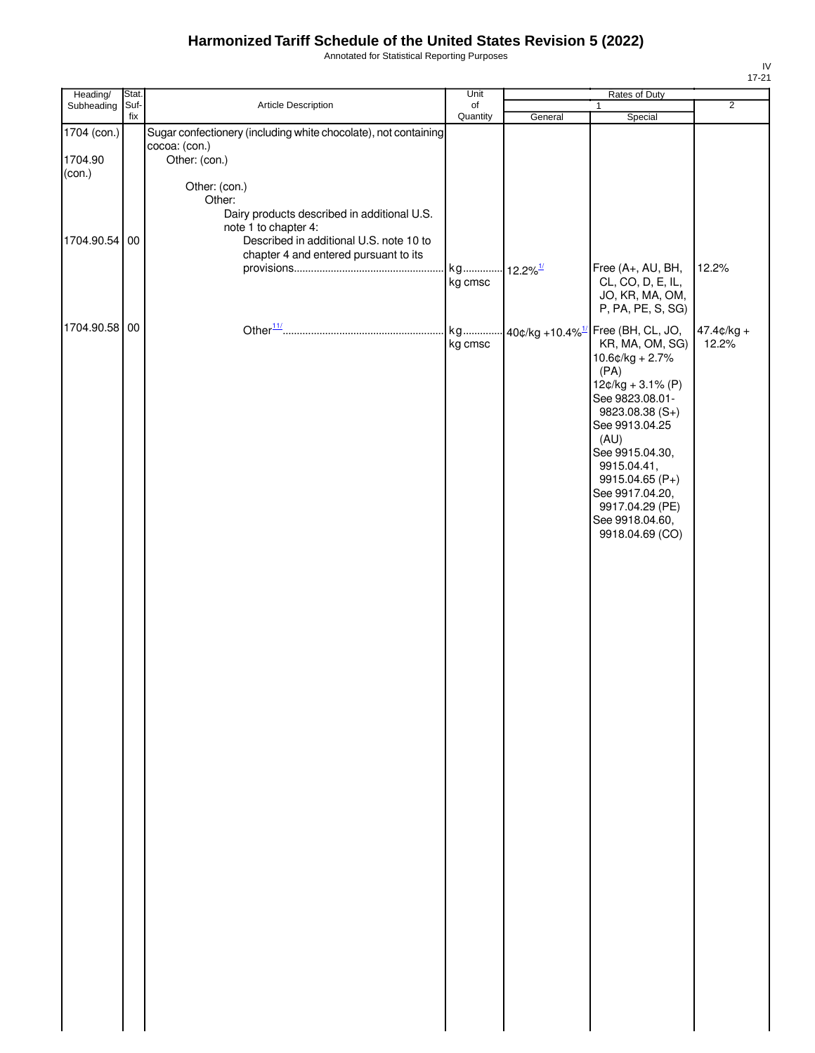Annotated for Statistical Reporting Purposes

| Heading/                         | Stat.       |                                                                                                                                                                                    | Unit           |                        | Rates of Duty                                                                                                                                                                                                                                                                                                                                  |                       |
|----------------------------------|-------------|------------------------------------------------------------------------------------------------------------------------------------------------------------------------------------|----------------|------------------------|------------------------------------------------------------------------------------------------------------------------------------------------------------------------------------------------------------------------------------------------------------------------------------------------------------------------------------------------|-----------------------|
| Subheading                       | Suf-<br>fix | Article Description                                                                                                                                                                | of<br>Quantity | General                | $\mathbf{1}$<br>Special                                                                                                                                                                                                                                                                                                                        | $\overline{2}$        |
| 1704 (con.)<br>1704.90<br>(con.) |             | Sugar confectionery (including white chocolate), not containing<br>cocoa: (con.)<br>Other: (con.)                                                                                  |                |                        |                                                                                                                                                                                                                                                                                                                                                |                       |
| 1704.90.54 00                    |             | Other: (con.)<br>Other:<br>Dairy products described in additional U.S.<br>note 1 to chapter 4:<br>Described in additional U.S. note 10 to<br>chapter 4 and entered pursuant to its | kg<br>kg cmsc  | $12.2\%$ <sup>1/</sup> | Free (A+, AU, BH,<br>CL, CO, D, E, IL,<br>JO, KR, MA, OM,                                                                                                                                                                                                                                                                                      | 12.2%                 |
| 1704.90.58 00                    |             |                                                                                                                                                                                    | kg<br>kg cmsc  |                        | P, PA, PE, S, SG)<br>$\cdot$ 40¢/kg +10.4% $^{1/2}$ Free (BH, CL, JO,<br>KR, MA, OM, SG)<br>$10.6$ ¢/kg + 2.7%<br>(PA)<br>$12¢/kg + 3.1% (P)$<br>See 9823.08.01-<br>9823.08.38 (S+)<br>See 9913.04.25<br>(AU)<br>See 9915.04.30,<br>9915.04.41,<br>9915.04.65 (P+)<br>See 9917.04.20,<br>9917.04.29 (PE)<br>See 9918.04.60,<br>9918.04.69 (CO) | $47.4¢/kg +$<br>12.2% |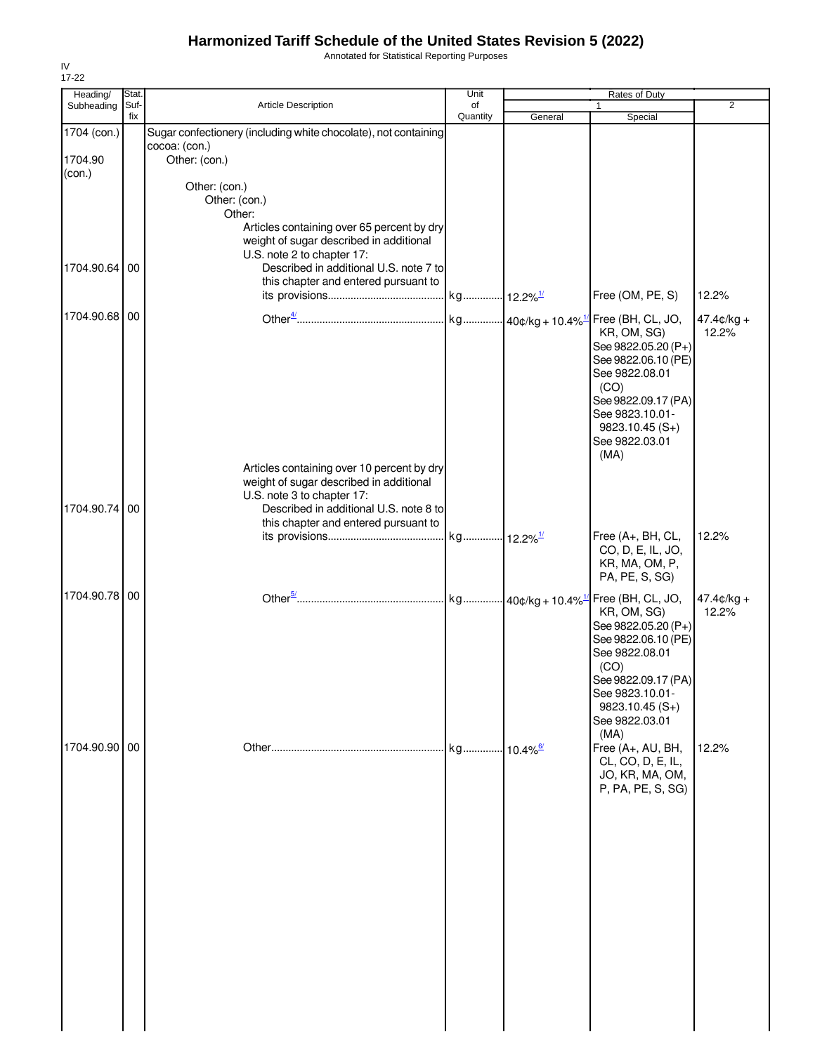Annotated for Statistical Reporting Purposes

| Heading/                         | Stat.       |                                                                                                                                                                                                       | Unit                   |         | Rates of Duty                                                                                                                                                                                                                    |                        |
|----------------------------------|-------------|-------------------------------------------------------------------------------------------------------------------------------------------------------------------------------------------------------|------------------------|---------|----------------------------------------------------------------------------------------------------------------------------------------------------------------------------------------------------------------------------------|------------------------|
| Subheading                       | Suf-<br>fix | Article Description                                                                                                                                                                                   | of<br>Quantity         | General | 1<br>Special                                                                                                                                                                                                                     | $\overline{2}$         |
| 1704 (con.)<br>1704.90<br>(con.) |             | Sugar confectionery (including white chocolate), not containing<br>cocoa: (con.)<br>Other: (con.)                                                                                                     |                        |         |                                                                                                                                                                                                                                  |                        |
|                                  |             | Other: (con.)<br>Other: (con.)<br>Other:<br>Articles containing over 65 percent by dry<br>weight of sugar described in additional                                                                     |                        |         |                                                                                                                                                                                                                                  |                        |
| 1704.90.64                       | 00          | U.S. note 2 to chapter 17:<br>Described in additional U.S. note 7 to<br>this chapter and entered pursuant to                                                                                          |                        |         | Free (OM, PE, S)                                                                                                                                                                                                                 | 12.2%                  |
| 1704.90.68 00                    |             |                                                                                                                                                                                                       |                        |         | kg 40¢/kg + 10.4% <sup>1/</sup> Free (BH, CL, JO,<br>KR, OM, SG)<br>See 9822.05.20 (P+)<br>See 9822.06.10 (PE)<br>See 9822.08.01<br>(CO)<br>See 9822.09.17 (PA)<br>See 9823.10.01-<br>$9823.10.45(S+)$<br>See 9822.03.01<br>(MA) | $47.4¢/kg +$<br>12.2%  |
| 1704.90.74                       | 00          | Articles containing over 10 percent by dry<br>weight of sugar described in additional<br>U.S. note 3 to chapter 17:<br>Described in additional U.S. note 8 to<br>this chapter and entered pursuant to |                        |         | Free (A+, BH, CL,<br>CO, D, E, IL, JO,                                                                                                                                                                                           | 12.2%                  |
| 1704.90.78 00                    |             |                                                                                                                                                                                                       |                        |         | KR, MA, OM, P,<br>PA, PE, S, SG)                                                                                                                                                                                                 |                        |
|                                  |             |                                                                                                                                                                                                       |                        |         | Free (BH, CL, JO,<br>KR, OM, SG)<br>See 9822.05.20 (P+)<br>See 9822.06.10 (PE)<br>See 9822.08.01<br>(CO)<br>See 9822.09.17 (PA)<br>See 9823.10.01-<br>9823.10.45 (S+)<br>See 9822.03.01                                          | $47.4$ ¢/kg +<br>12.2% |
| 1704.90.90 00                    |             |                                                                                                                                                                                                       | kg 10.4% <sup>6/</sup> |         | (MA)<br>Free (A+, AU, BH,<br>CL, CO, D, E, IL,<br>JO, KR, MA, OM,<br>P, PA, PE, S, SG)                                                                                                                                           | 12.2%                  |